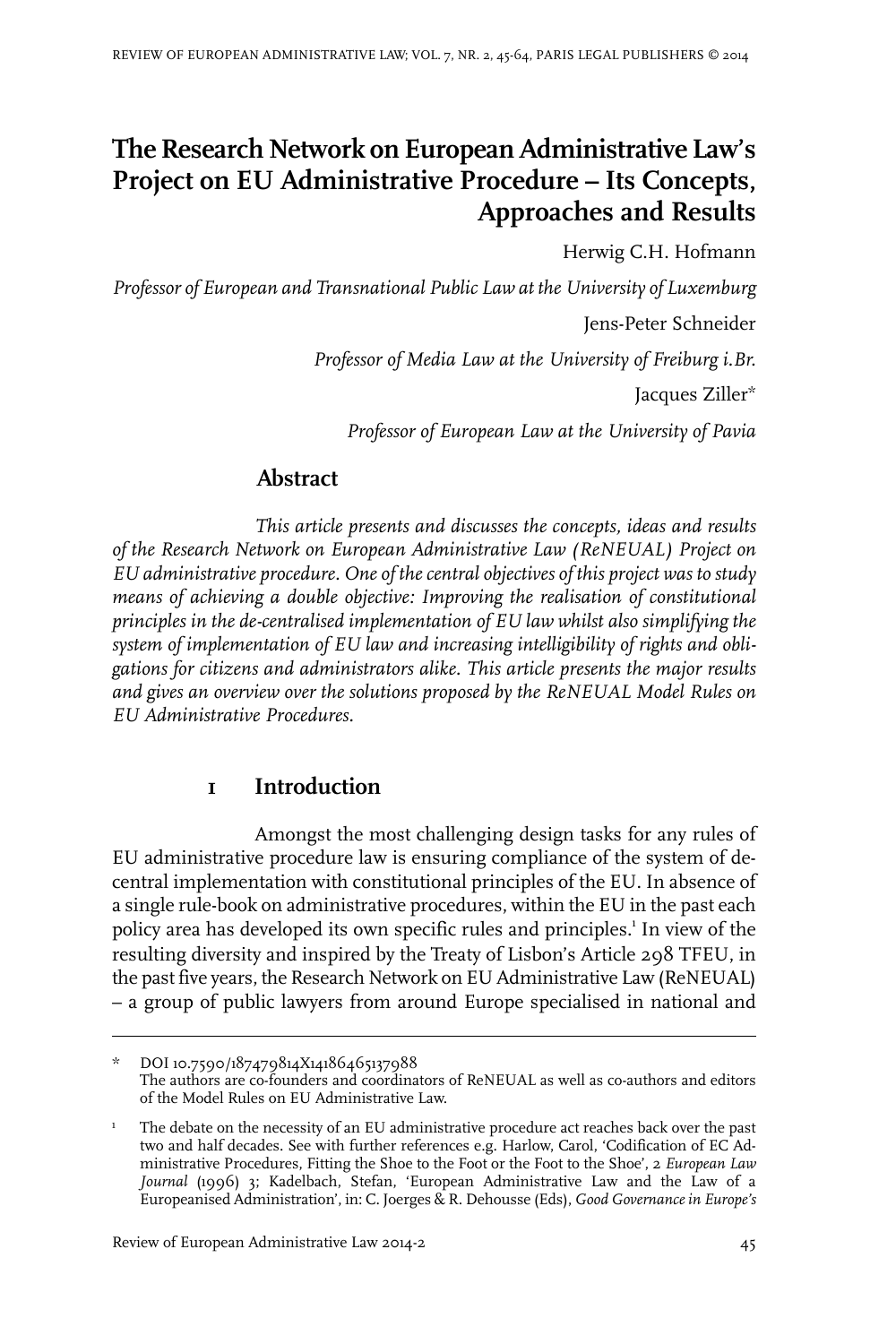# **The Research Network on European Administrative Law's Project on EU Administrative Procedure – Its Concepts, Approaches and Results**

Herwig C.H. Hofmann

*Professor of European and Transnational Public Law at the University of Luxemburg*

Jens-Peter Schneider

*Professor of Media Law at the University of Freiburg i.Br.*

Jacques Ziller\*

*Professor of European Law at the University of Pavia*

# **Abstract**

*This article presents and discusses the concepts, ideas and results of the Research Network on European Administrative Law (ReNEUAL) Project on EU administrative procedure. One of the central objectives of this project was to study means of achieving a double objective: Improving the realisation of constitutional principles in the de-centralised implementation of EU law whilst also simplifying the system of implementation of EU law and increasing intelligibility of rights and obligations for citizens and administrators alike. This article presents the major results and gives an overview over the solutions proposed by the ReNEUAL Model Rules on EU Administrative Procedures.*

# **1 Introduction**

Amongst the most challenging design tasks for any rules of EU administrative procedure law is ensuring compliance of the system of decentral implementation with constitutional principles of the EU. In absence of a single rule-book on administrative procedures, within the EU in the past each policy area has developed its own specific rules and principles.<sup>1</sup> In view of the resulting diversity and inspired by the Treaty of Lisbon's Article 298 TFEU, in the past five years, the Research Network on EU Administrative Law (ReNEUAL) – a group of public lawyers from around Europe specialised in national and

DOI 10.7590/187479814X14186465137988 The authors are co-founders and coordinators of ReNEUAL as well as co-authors and editors of the Model Rules on EU Administrative Law.

The debate on the necessity of an EU administrative procedure act reaches back over the past two and half decades. See with further references e.g. Harlow, Carol, 'Codification of EC Ad-1 ministrative Procedures, Fitting the Shoe to the Foot or the Foot to the Shoe', 2 *European Law Journal* (1996) 3; Kadelbach, Stefan, 'European Administrative Law and the Law of a Europeanised Administration', in: C. Joerges & R. Dehousse (Eds), *Good Governance in Europe's*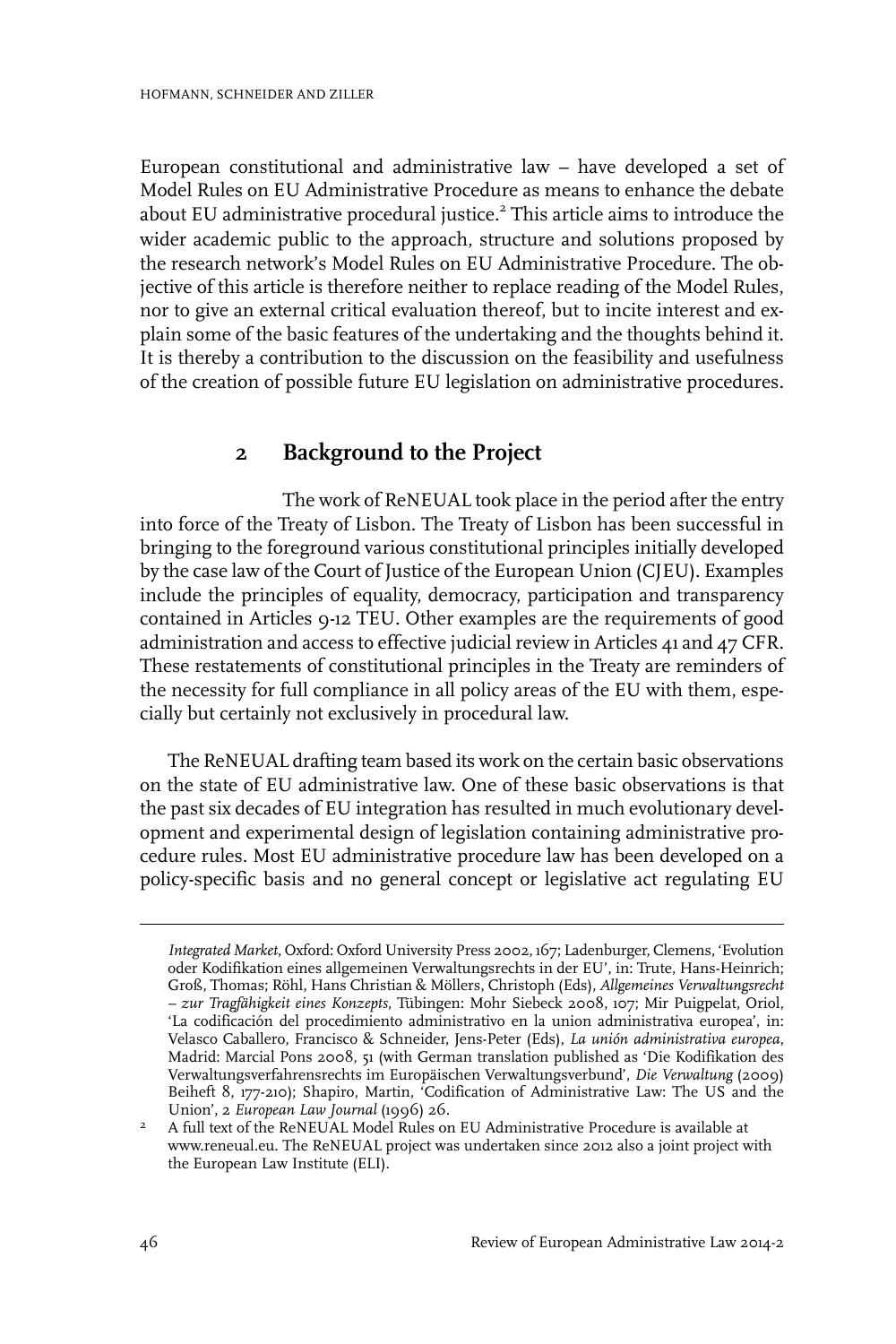European constitutional and administrative law – have developed a set of Model Rules on EU Administrative Procedure as means to enhance the debate about EU administrative procedural justice.<sup>2</sup> This article aims to introduce the wider academic public to the approach, structure and solutions proposed by the research network's Model Rules on EU Administrative Procedure. The objective of this article is therefore neither to replace reading of the Model Rules, nor to give an external critical evaluation thereof, but to incite interest and explain some of the basic features of the undertaking and the thoughts behind it. It is thereby a contribution to the discussion on the feasibility and usefulness of the creation of possible future EU legislation on administrative procedures.

# **2 Background to the Project**

The work of ReNEUAL took place in the period after the entry into force of the Treaty of Lisbon. The Treaty of Lisbon has been successful in bringing to the foreground various constitutional principles initially developed by the case law of the Court of Justice of the European Union (CJEU). Examples include the principles of equality, democracy, participation and transparency contained in Articles 9-12 TEU. Other examples are the requirements of good administration and access to effective judicial review in Articles 41 and 47 CFR. These restatements of constitutional principles in the Treaty are reminders of the necessity for full compliance in all policy areas of the EU with them, especially but certainly not exclusively in procedural law.

The ReNEUAL drafting team based its work on the certain basic observations on the state of EU administrative law. One of these basic observations is that the past six decades of EU integration has resulted in much evolutionary development and experimental design of legislation containing administrative procedure rules. Most EU administrative procedure law has been developed on a policy-specific basis and no general concept or legislative act regulating EU

*Integrated Market*, Oxford: Oxford University Press 2002, 167; Ladenburger, Clemens, 'Evolution oder Kodifikation eines allgemeinen Verwaltungsrechts in der EU', in: Trute, Hans-Heinrich; Groß, Thomas; Röhl, Hans Christian & Möllers, Christoph (Eds), *Allgemeines Verwaltungsrecht – zur Tragfähigkeit eines Konzepts*, Tübingen: Mohr Siebeck 2008, 107; Mir Puigpelat, Oriol, 'La codificación del procedimiento administrativo en la union administrativa europea', in: Velasco Caballero, Francisco & Schneider, Jens-Peter (Eds), *La unión administrativa europea*, Madrid: Marcial Pons 2008, 51 (with German translation published as 'Die Kodifikation des Verwaltungsverfahrensrechts im Europäischen Verwaltungsverbund', *Die Verwaltung* (2009) Beiheft 8, 177-210); Shapiro, Martin, 'Codification of Administrative Law: The US and the Union', 2 *European Law Journal* (1996) 26.

A full text of the ReNEUAL Model Rules on EU Administrative Procedure is available at www.reneual.eu. The ReNEUAL project was undertaken since 2012 also a joint project with the European Law Institute (ELI). 2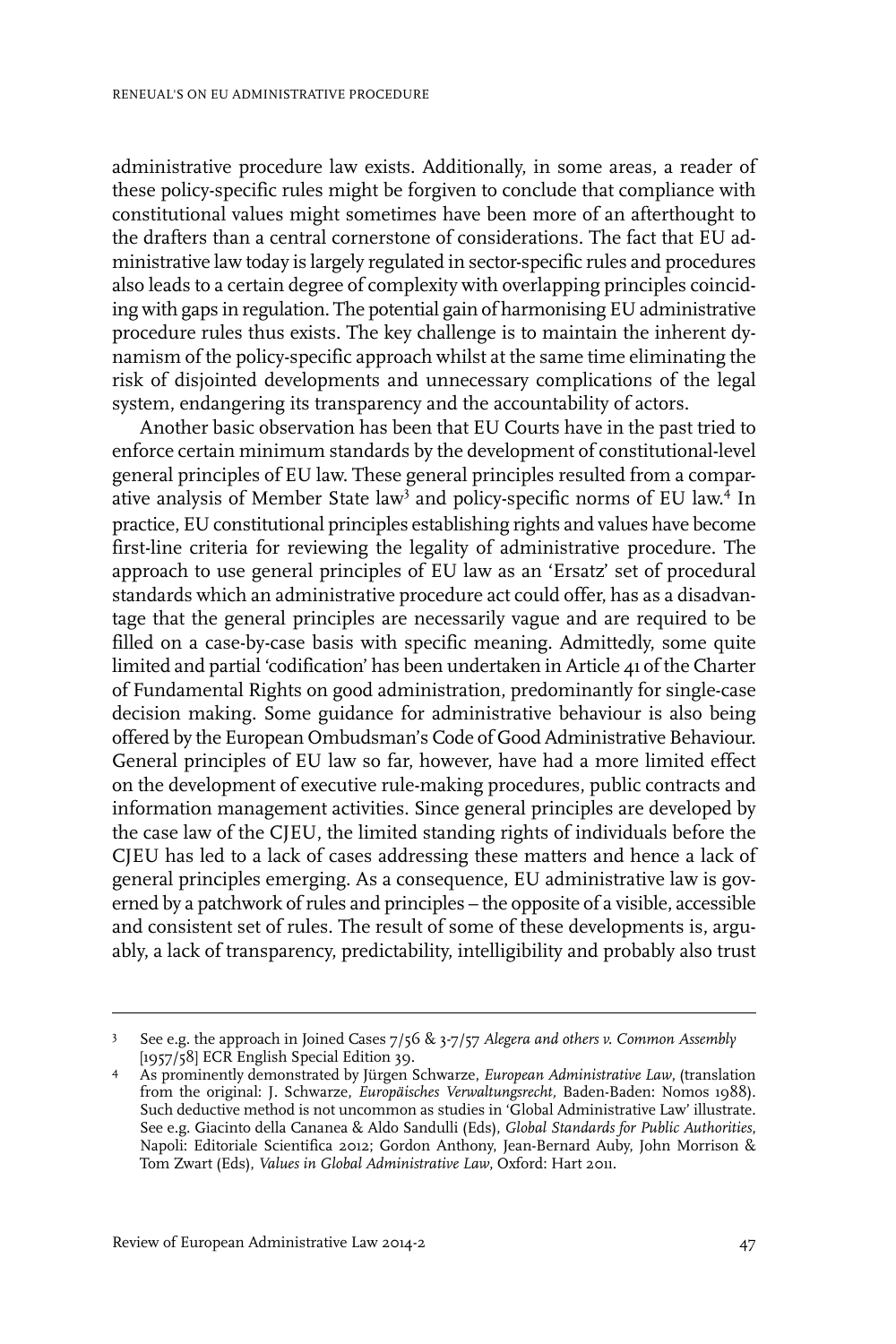administrative procedure law exists. Additionally, in some areas, a reader of these policy-specific rules might be forgiven to conclude that compliance with constitutional values might sometimes have been more of an afterthought to the drafters than a central cornerstone of considerations. The fact that EU administrative law today is largely regulated in sector-specific rules and procedures also leads to a certain degree of complexity with overlapping principles coinciding with gaps in regulation. The potential gain of harmonising EU administrative procedure rules thus exists. The key challenge is to maintain the inherent dynamism of the policy-specific approach whilst at the same time eliminating the risk of disjointed developments and unnecessary complications of the legal system, endangering its transparency and the accountability of actors.

Another basic observation has been that EU Courts have in the past tried to enforce certain minimum standards by the development of constitutional-level general principles of EU law. These general principles resulted from a comparative analysis of Member State law<sup>3</sup> and policy-specific norms of EU law.<sup>4</sup> In practice, EU constitutional principles establishing rights and values have become first-line criteria for reviewing the legality of administrative procedure. The approach to use general principles of EU law as an 'Ersatz' set of procedural standards which an administrative procedure act could offer, has as a disadvantage that the general principles are necessarily vague and are required to be filled on a case-by-case basis with specific meaning. Admittedly, some quite limited and partial 'codification' has been undertaken in Article 41 of the Charter of Fundamental Rights on good administration, predominantly for single-case decision making. Some guidance for administrative behaviour is also being offered by the European Ombudsman's Code of Good Administrative Behaviour. General principles of EU law so far, however, have had a more limited effect on the development of executive rule-making procedures, public contracts and information management activities. Since general principles are developed by the case law of the CJEU, the limited standing rights of individuals before the CJEU has led to a lack of cases addressing these matters and hence a lack of general principles emerging. As a consequence, EU administrative law is governed by a patchwork of rules and principles – the opposite of a visible, accessible and consistent set of rules. The result of some of these developments is, arguably, a lack of transparency, predictability, intelligibility and probably also trust

See e.g. the approach in Joined Cases 7/56 & 3-7/57 *Alegera and others v. Common Assembly* [1957/58] ECR English Special Edition 39. 3

As prominently demonstrated by Jürgen Schwarze, *European Administrative Law*, (translation from the original: J. Schwarze, *Europäisches Verwaltungsrecht,* Baden-Baden: Nomos 1988). 4 Such deductive method is not uncommon as studies in 'Global Administrative Law' illustrate. See e.g. Giacinto della Cananea & Aldo Sandulli (Eds), *Global Standards for Public Authorities*, Napoli: Editoriale Scientifica 2012; Gordon Anthony, Jean-Bernard Auby, John Morrison & Tom Zwart (Eds), *Values in Global Administrative Law*, Oxford: Hart 2011.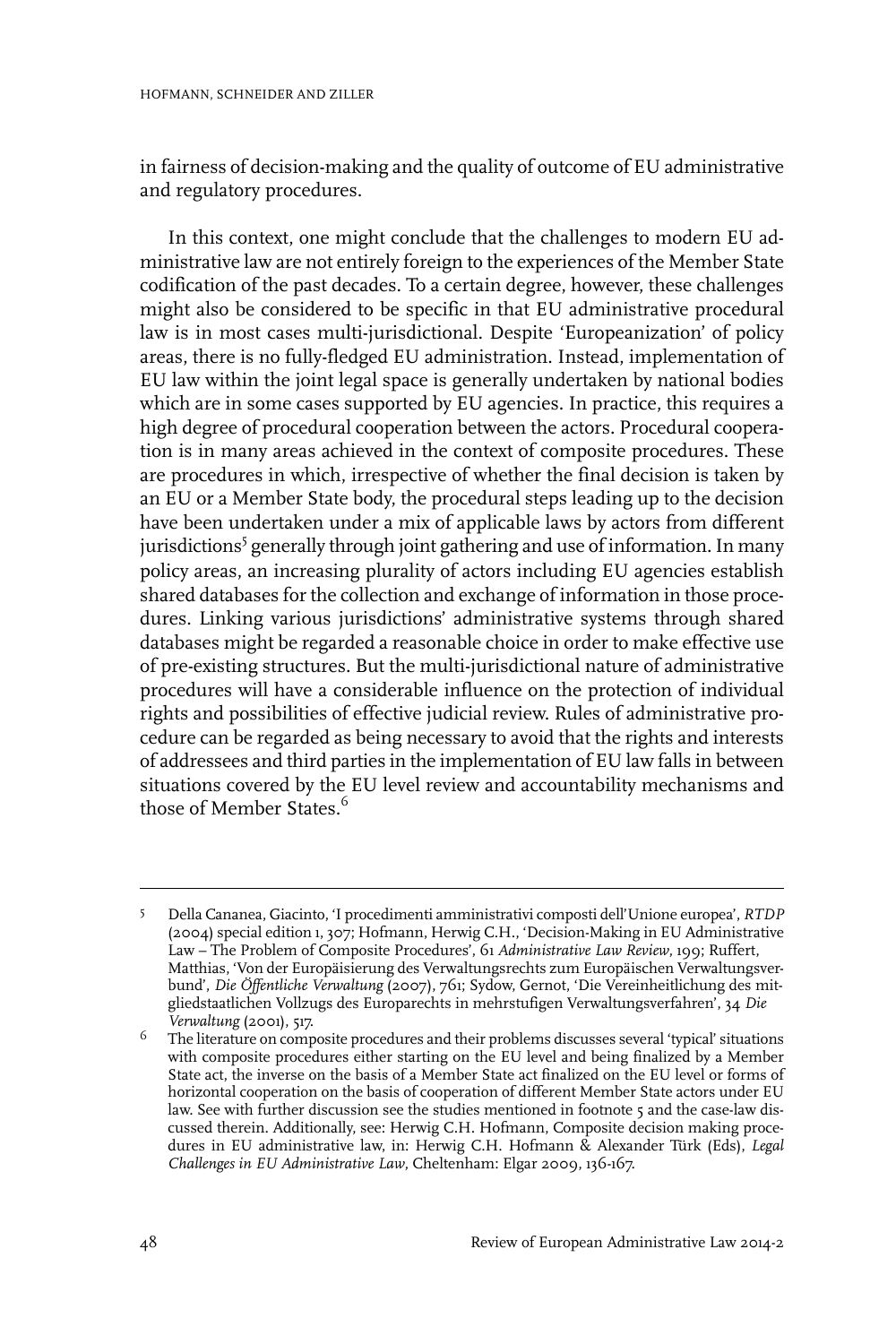in fairness of decision-making and the quality of outcome of EU administrative and regulatory procedures.

In this context, one might conclude that the challenges to modern EU administrative law are not entirely foreign to the experiences of the Member State codification of the past decades. To a certain degree, however, these challenges might also be considered to be specific in that EU administrative procedural law is in most cases multi-jurisdictional. Despite 'Europeanization' of policy areas, there is no fully-fledged EU administration. Instead, implementation of EU law within the joint legal space is generally undertaken by national bodies which are in some cases supported by EU agencies. In practice, this requires a high degree of procedural cooperation between the actors. Procedural cooperation is in many areas achieved in the context of composite procedures. These are procedures in which, irrespective of whether the final decision is taken by an EU or a Member State body, the procedural steps leading up to the decision have been undertaken under a mix of applicable laws by actors from different jurisdictions<sup>5</sup> generally through joint gathering and use of information. In many policy areas, an increasing plurality of actors including EU agencies establish shared databases for the collection and exchange of information in those procedures. Linking various jurisdictions' administrative systems through shared databases might be regarded a reasonable choice in order to make effective use of pre-existing structures. But the multi-jurisdictional nature of administrative procedures will have a considerable influence on the protection of individual rights and possibilities of effective judicial review. Rules of administrative procedure can be regarded as being necessary to avoid that the rights and interests of addressees and third parties in the implementation of EU law falls in between situations covered by the EU level review and accountability mechanisms and those of Member States. $^6$ 

Della Cananea, Giacinto, 'I procedimenti amministrativi composti dell'Unione europea', *RTDP* (2004) special edition 1, 307; Hofmann, Herwig C.H., 'Decision-Making in EU Administrative 5 Law – The Problem of Composite Procedures', 61 *Administrative Law Review*, 199; Ruffert, Matthias, 'Von der Europäisierung des Verwaltungsrechts zum Europäischen Verwaltungsverbund', *Die Öffentliche Verwaltung* (2007), 761; Sydow, Gernot, 'Die Vereinheitlichung des mitgliedstaatlichen Vollzugs des Europarechts in mehrstufigen Verwaltungsverfahren', 34 *Die Verwaltung* (2001), 517.

 $^6$  The literature on composite procedures and their problems discusses several 'typical' situations with composite procedures either starting on the EU level and being finalized by a Member State act, the inverse on the basis of a Member State act finalized on the EU level or forms of horizontal cooperation on the basis of cooperation of different Member State actors under EU law. See with further discussion see the studies mentioned in footnote 5 and the case-law discussed therein. Additionally, see: Herwig C.H. Hofmann, Composite decision making procedures in EU administrative law, in: Herwig C.H. Hofmann & Alexander Türk (Eds), *Legal Challenges in EU Administrative Law*, Cheltenham: Elgar 2009, 136-167.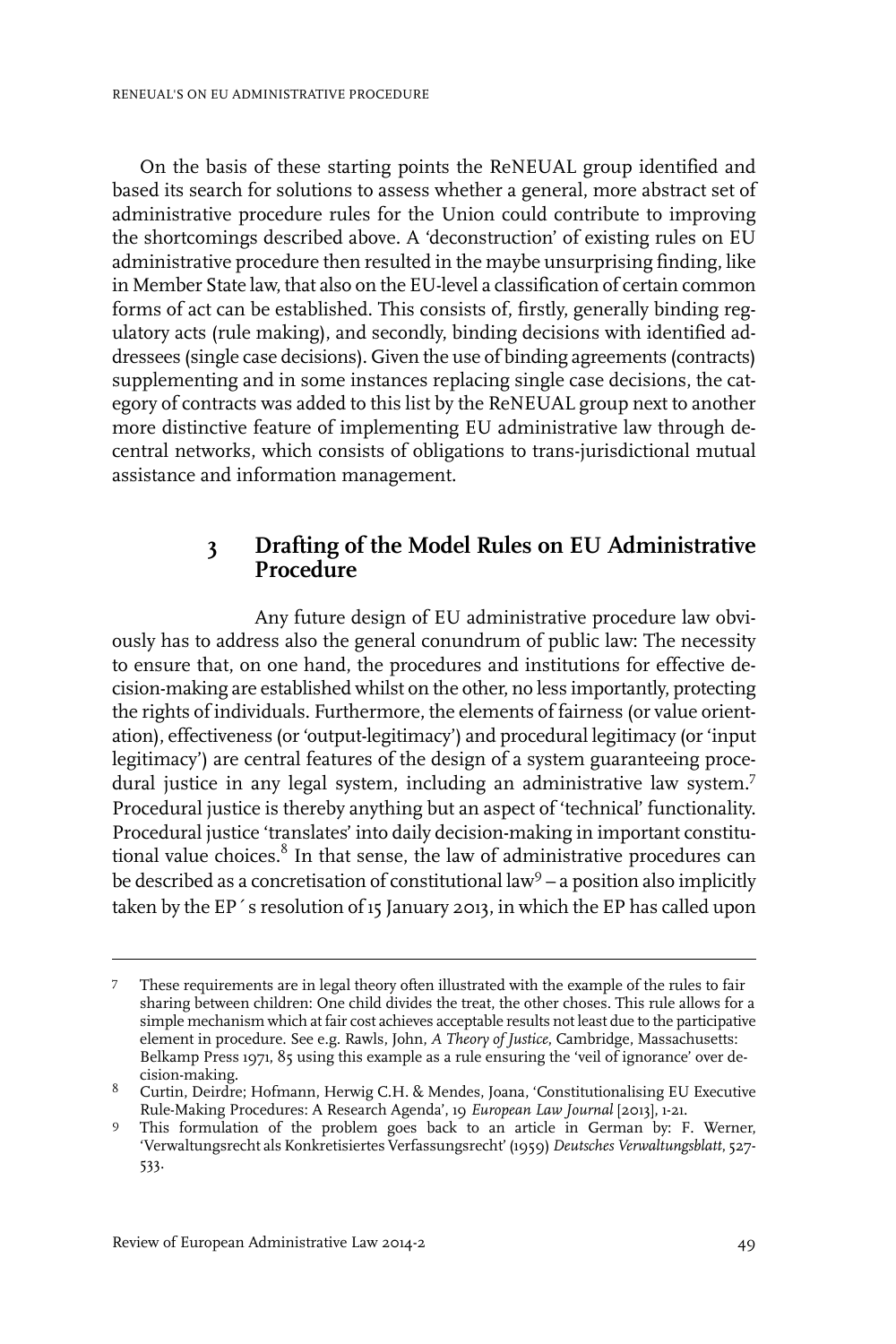On the basis of these starting points the ReNEUAL group identified and based its search for solutions to assess whether a general, more abstract set of administrative procedure rules for the Union could contribute to improving the shortcomings described above. A 'deconstruction' of existing rules on EU administrative procedure then resulted in the maybe unsurprising finding, like in Member State law, that also on the EU-level a classification of certain common forms of act can be established. This consists of, firstly, generally binding regulatory acts (rule making), and secondly, binding decisions with identified addressees (single case decisions). Given the use of binding agreements (contracts) supplementing and in some instances replacing single case decisions, the category of contracts was added to this list by the ReNEUAL group next to another more distinctive feature of implementing EU administrative law through decentral networks, which consists of obligations to trans-jurisdictional mutual assistance and information management.

### **3 Drafting of the Model Rules on EU Administrative Procedure**

Any future design of EU administrative procedure law obviously has to address also the general conundrum of public law: The necessity to ensure that, on one hand, the procedures and institutions for effective decision-making are established whilst on the other, no less importantly, protecting the rights of individuals. Furthermore, the elements of fairness (or value orientation), effectiveness (or 'output-legitimacy') and procedural legitimacy (or 'input legitimacy') are central features of the design of a system guaranteeing procedural justice in any legal system, including an administrative law system.<sup>7</sup> Procedural justice is thereby anything but an aspect of 'technical' functionality. Procedural justice 'translates' into daily decision-making in important constitutional value choices. $^8$  In that sense, the law of administrative procedures can be described as a concretisation of constitutional law<sup>9</sup> – a position also implicitly taken by the EP´s resolution of 15 January 2013, in which the EP has called upon

These requirements are in legal theory often illustrated with the example of the rules to fair sharing between children: One child divides the treat, the other choses. This rule allows for a 7 simple mechanism which at fair cost achieves acceptable results not least due to the participative element in procedure. See e.g. Rawls, John, *A Theory of Justice*, Cambridge, Massachusetts: Belkamp Press 1971, 85 using this example as a rule ensuring the 'veil of ignorance' over decision-making.

 $^8$  Curtin, Deirdre; Hofmann, Herwig C.H. & Mendes, Joana, 'Constitutionalising EU Executive Rule-Making Procedures: A Research Agenda', 19 *European Law Journal* [2013], 1-21.

This formulation of the problem goes back to an article in German by: F. Werner, 'Verwaltungsrecht als Konkretisiertes Verfassungsrecht' (1959) *Deutsches Verwaltungsblatt*, 527- 533. 9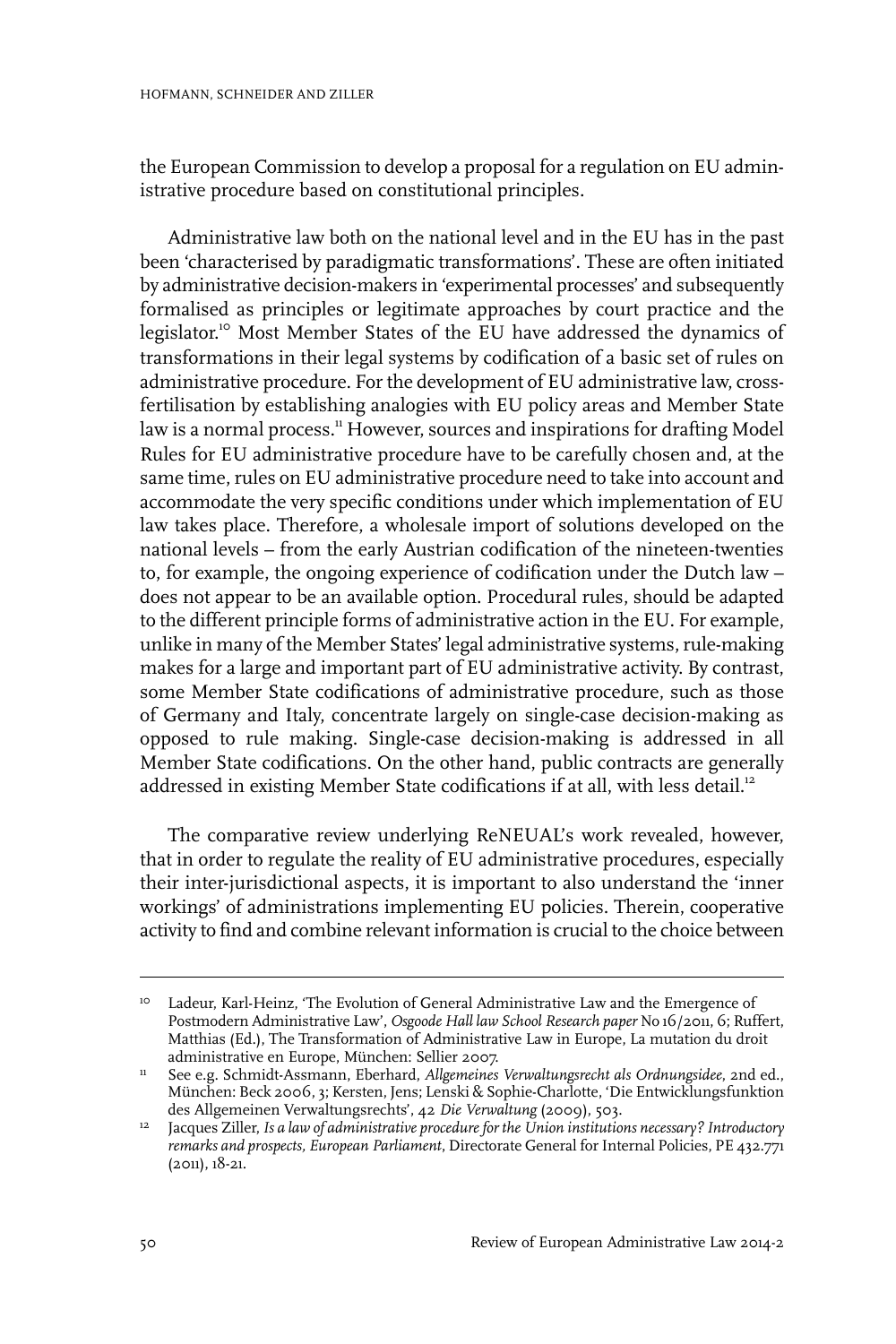the European Commission to develop a proposal for a regulation on EU administrative procedure based on constitutional principles.

Administrative law both on the national level and in the EU has in the past been 'characterised by paradigmatic transformations'. These are often initiated by administrative decision-makers in 'experimental processes' and subsequently formalised as principles or legitimate approaches by court practice and the legislator. <sup>10</sup> Most Member States of the EU have addressed the dynamics of transformations in their legal systems by codification of a basic set of rules on administrative procedure. For the development of EU administrative law, crossfertilisation by establishing analogies with EU policy areas and Member State law is a normal process.<sup>11</sup> However, sources and inspirations for drafting Model Rules for EU administrative procedure have to be carefully chosen and, at the same time, rules on EU administrative procedure need to take into account and accommodate the very specific conditions under which implementation of EU law takes place. Therefore, a wholesale import of solutions developed on the national levels – from the early Austrian codification of the nineteen-twenties to, for example, the ongoing experience of codification under the Dutch law – does not appear to be an available option. Procedural rules, should be adapted to the different principle forms of administrative action in the EU. For example, unlike in many of the Member States' legal administrative systems, rule-making makes for a large and important part of EU administrative activity. By contrast, some Member State codifications of administrative procedure, such as those of Germany and Italy, concentrate largely on single-case decision-making as opposed to rule making. Single-case decision-making is addressed in all Member State codifications. On the other hand, public contracts are generally addressed in existing Member State codifications if at all, with less detail.<sup>12</sup>

The comparative review underlying ReNEUAL's work revealed, however, that in order to regulate the reality of EU administrative procedures, especially their inter-jurisdictional aspects, it is important to also understand the 'inner workings' of administrations implementing EU policies. Therein, cooperative activity to find and combine relevant information is crucial to the choice between

<sup>&</sup>lt;sup>10</sup> Ladeur, Karl-Heinz, 'The Evolution of General Administrative Law and the Emergence of Postmodern Administrative Law', *Osgoode Hall law School Research paper* No 16/2011, 6; Ruffert, Matthias (Ed.), The Transformation of Administrative Law in Europe, La mutation du droit administrative en Europe, München: Sellier 2007.

<sup>&</sup>lt;sup>11</sup> See e.g. Schmidt-Assmann, Eberhard, Allgemeines Verwaltungsrecht als Ordnungsidee, 2nd ed., München: Beck 2006, 3; Kersten, Jens; Lenski & Sophie-Charlotte, 'Die Entwicklungsfunktion des Allgemeinen Verwaltungsrechts', 42 *Die Verwaltung* (2009), 503.

Jacques Ziller,*Is a law of administrative procedure for the Union institutions necessary? Introductory* 12 *remarks and prospects, European Parliament*, Directorate General for Internal Policies, PE 432.771  $(2011), 18-21.$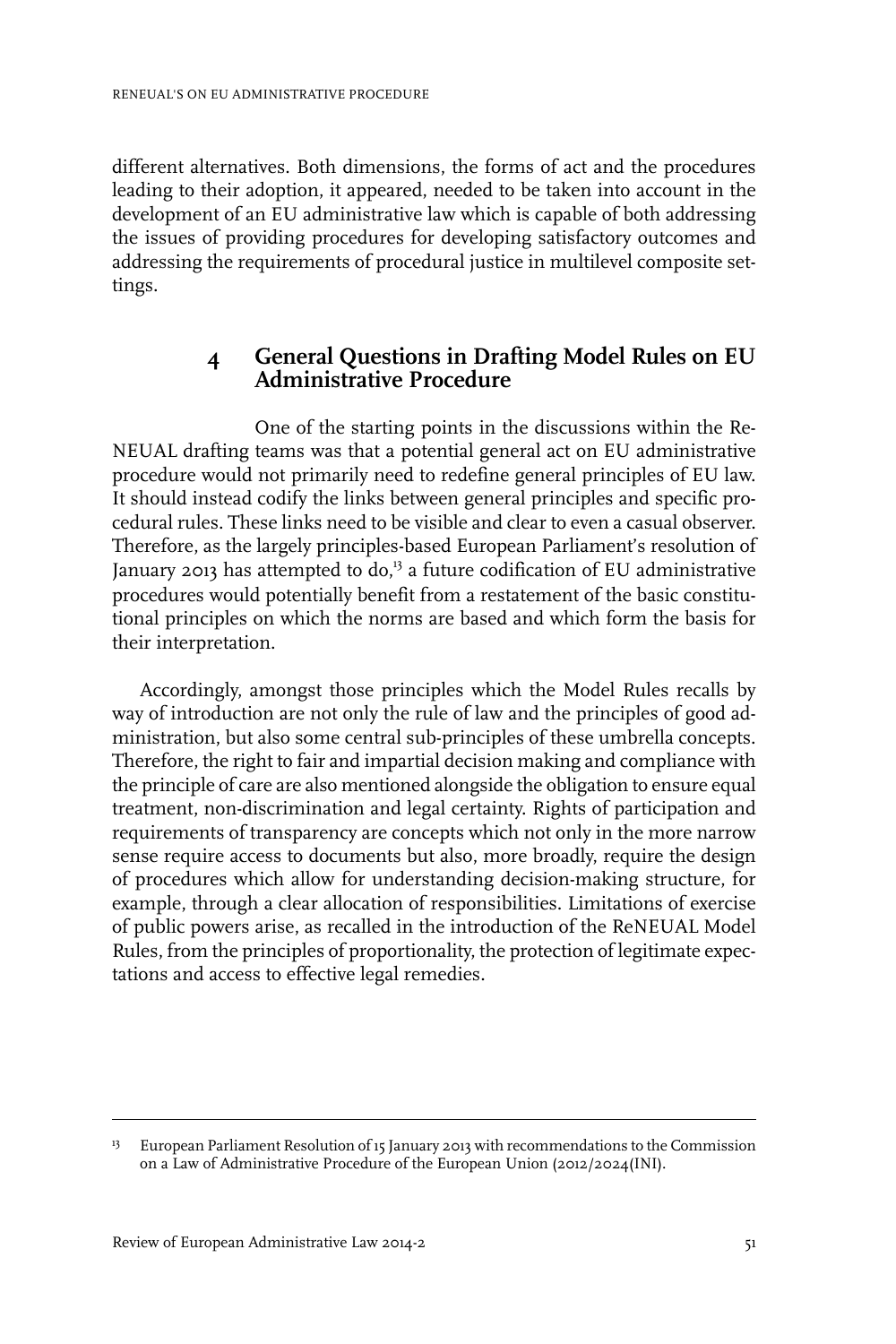different alternatives. Both dimensions, the forms of act and the procedures leading to their adoption, it appeared, needed to be taken into account in the development of an EU administrative law which is capable of both addressing the issues of providing procedures for developing satisfactory outcomes and addressing the requirements of procedural justice in multilevel composite settings.

# **4 General Questions in Drafting Model Rules on EU Administrative Procedure**

One of the starting points in the discussions within the Re-NEUAL drafting teams was that a potential general act on EU administrative procedure would not primarily need to redefine general principles of EU law. It should instead codify the links between general principles and specific procedural rules. These links need to be visible and clear to even a casual observer. Therefore, as the largely principles-based European Parliament's resolution of January 2013 has attempted to  $do<sup>13</sup>$  a future codification of EU administrative procedures would potentially benefit from a restatement of the basic constitutional principles on which the norms are based and which form the basis for their interpretation.

Accordingly, amongst those principles which the Model Rules recalls by way of introduction are not only the rule of law and the principles of good administration, but also some central sub-principles of these umbrella concepts. Therefore, the right to fair and impartial decision making and compliance with the principle of care are also mentioned alongside the obligation to ensure equal treatment, non-discrimination and legal certainty. Rights of participation and requirements of transparency are concepts which not only in the more narrow sense require access to documents but also, more broadly, require the design of procedures which allow for understanding decision-making structure, for example, through a clear allocation of responsibilities. Limitations of exercise of public powers arise, as recalled in the introduction of the ReNEUAL Model Rules, from the principles of proportionality, the protection of legitimate expectations and access to effective legal remedies.

<sup>&</sup>lt;sup>13</sup> European Parliament Resolution of 15 January 2013 with recommendations to the Commission on a Law of Administrative Procedure of the European Union (2012/2024(INI).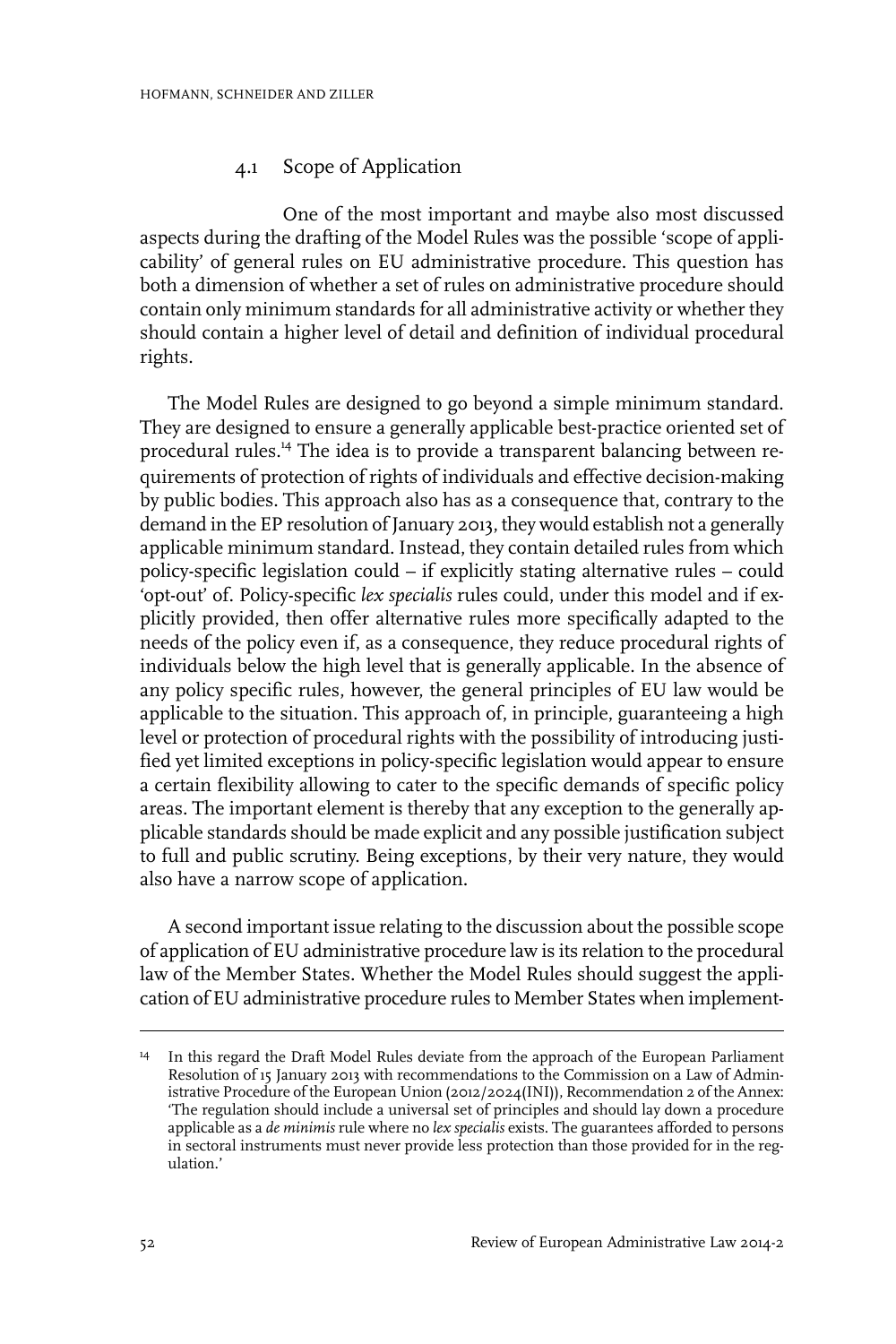#### 4.1 Scope of Application

One of the most important and maybe also most discussed aspects during the drafting of the Model Rules was the possible 'scope of applicability' of general rules on EU administrative procedure. This question has both a dimension of whether a set of rules on administrative procedure should contain only minimum standards for all administrative activity or whether they should contain a higher level of detail and definition of individual procedural rights.

The Model Rules are designed to go beyond a simple minimum standard. They are designed to ensure a generally applicable best-practice oriented set of procedural rules.<sup>14</sup> The idea is to provide a transparent balancing between requirements of protection of rights of individuals and effective decision-making by public bodies. This approach also has as a consequence that, contrary to the demand in the EP resolution of January 2013, they would establish not a generally applicable minimum standard. Instead, they contain detailed rules from which policy-specific legislation could – if explicitly stating alternative rules – could 'opt-out' of. Policy-specific *lex specialis* rules could, under this model and if explicitly provided, then offer alternative rules more specifically adapted to the needs of the policy even if, as a consequence, they reduce procedural rights of individuals below the high level that is generally applicable. In the absence of any policy specific rules, however, the general principles of EU law would be applicable to the situation. This approach of, in principle, guaranteeing a high level or protection of procedural rights with the possibility of introducing justified yet limited exceptions in policy-specific legislation would appear to ensure a certain flexibility allowing to cater to the specific demands of specific policy areas. The important element is thereby that any exception to the generally applicable standards should be made explicit and any possible justification subject to full and public scrutiny. Being exceptions, by their very nature, they would also have a narrow scope of application.

A second important issue relating to the discussion about the possible scope of application of EU administrative procedure law is its relation to the procedural law of the Member States. Whether the Model Rules should suggest the application of EU administrative procedure rules to Member States when implement-

<sup>&</sup>lt;sup>14</sup> In this regard the Draft Model Rules deviate from the approach of the European Parliament Resolution of 15 January 2013 with recommendations to the Commission on a Law of Administrative Procedure of the European Union (2012/2024(INI)), Recommendation 2 of the Annex: 'The regulation should include a universal set of principles and should lay down a procedure applicable as a *de minimis* rule where no *lex specialis* exists. The guarantees afforded to persons in sectoral instruments must never provide less protection than those provided for in the regulation.'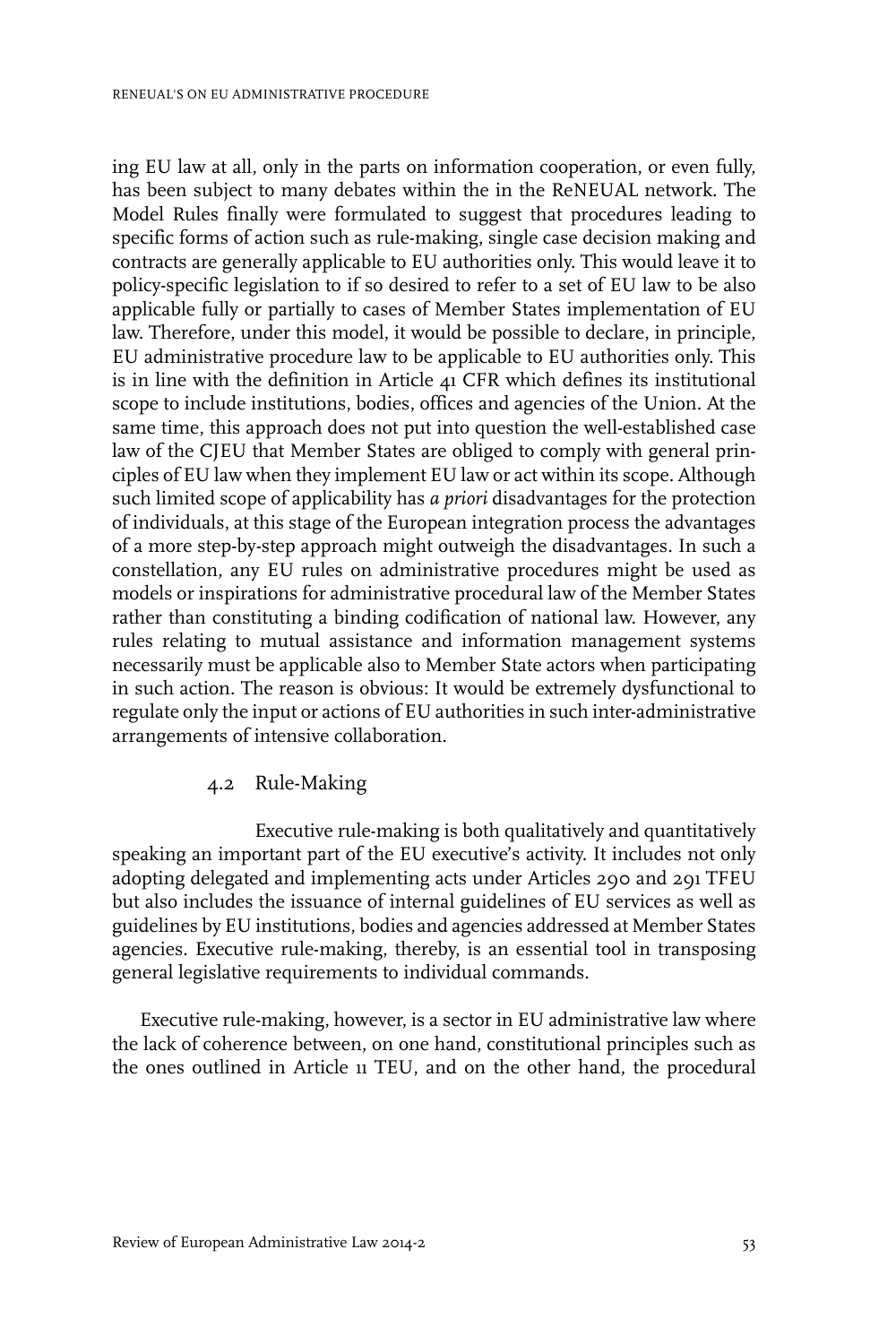ing EU law at all, only in the parts on information cooperation, or even fully, has been subject to many debates within the in the ReNEUAL network. The Model Rules finally were formulated to suggest that procedures leading to specific forms of action such as rule-making, single case decision making and contracts are generally applicable to EU authorities only. This would leave it to policy-specific legislation to if so desired to refer to a set of EU law to be also applicable fully or partially to cases of Member States implementation of EU law. Therefore, under this model, it would be possible to declare, in principle, EU administrative procedure law to be applicable to EU authorities only. This is in line with the definition in Article 41 CFR which defines its institutional scope to include institutions, bodies, offices and agencies of the Union. At the same time, this approach does not put into question the well-established case law of the CJEU that Member States are obliged to comply with general principles of EU law when they implement EU law or act within its scope. Although such limited scope of applicability has *a priori* disadvantages for the protection of individuals, at this stage of the European integration process the advantages of a more step-by-step approach might outweigh the disadvantages. In such a constellation, any EU rules on administrative procedures might be used as models or inspirations for administrative procedural law of the Member States rather than constituting a binding codification of national law. However, any rules relating to mutual assistance and information management systems necessarily must be applicable also to Member State actors when participating in such action. The reason is obvious: It would be extremely dysfunctional to regulate only the input or actions of EU authorities in such inter-administrative arrangements of intensive collaboration.

#### 4.2 Rule-Making

Executive rule-making is both qualitatively and quantitatively speaking an important part of the EU executive's activity. It includes not only adopting delegated and implementing acts under Articles 290 and 291 TFEU but also includes the issuance of internal guidelines of EU services as well as guidelines by EU institutions, bodies and agencies addressed at Member States agencies. Executive rule-making, thereby, is an essential tool in transposing general legislative requirements to individual commands.

Executive rule-making, however, is a sector in EU administrative law where the lack of coherence between, on one hand, constitutional principles such as the ones outlined in Article 11 TEU, and on the other hand, the procedural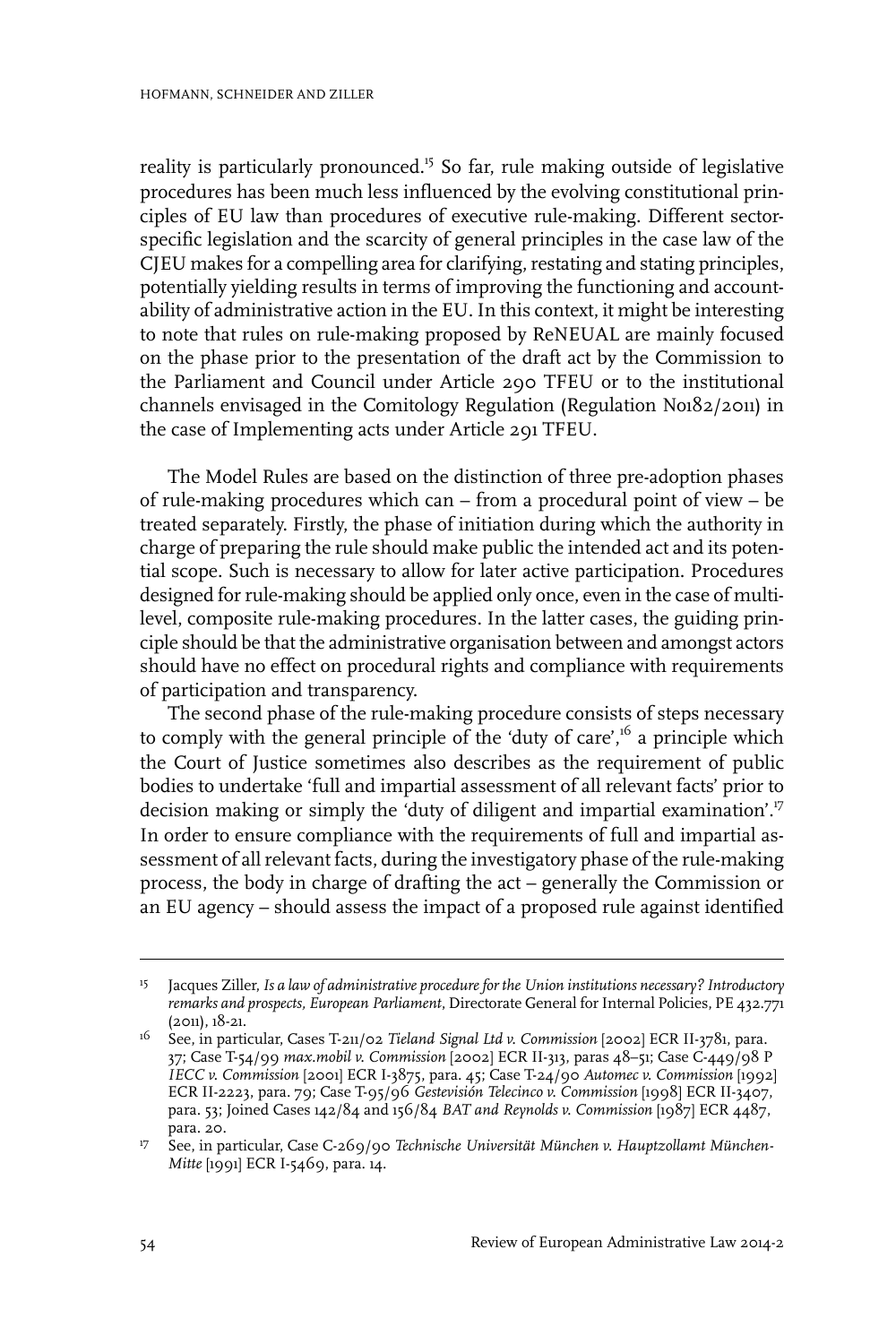reality is particularly pronounced.<sup>15</sup> So far, rule making outside of legislative procedures has been much less influenced by the evolving constitutional principles of EU law than procedures of executive rule-making. Different sectorspecific legislation and the scarcity of general principles in the case law of the CJEU makes for a compelling area for clarifying, restating and stating principles, potentially yielding results in terms of improving the functioning and accountability of administrative action in the EU. In this context, it might be interesting to note that rules on rule-making proposed by ReNEUAL are mainly focused on the phase prior to the presentation of the draft act by the Commission to the Parliament and Council under Article 290 TFEU or to the institutional channels envisaged in the Comitology Regulation (Regulation No182/2011) in the case of Implementing acts under Article 291 TFEU.

The Model Rules are based on the distinction of three pre-adoption phases of rule-making procedures which can – from a procedural point of view – be treated separately. Firstly, the phase of initiation during which the authority in charge of preparing the rule should make public the intended act and its potential scope. Such is necessary to allow for later active participation. Procedures designed for rule-making should be applied only once, even in the case of multilevel, composite rule-making procedures. In the latter cases, the guiding principle should be that the administrative organisation between and amongst actors should have no effect on procedural rights and compliance with requirements of participation and transparency.

The second phase of the rule-making procedure consists of steps necessary to comply with the general principle of the 'duty of care', $^{16}$  a principle which the Court of Justice sometimes also describes as the requirement of public bodies to undertake 'full and impartial assessment of all relevant facts' prior to decision making or simply the 'duty of diligent and impartial examination'.<sup>17</sup> In order to ensure compliance with the requirements of full and impartial assessment of all relevant facts, during the investigatory phase of the rule-making process, the body in charge of drafting the act – generally the Commission or an EU agency – should assess the impact of a proposed rule against identified

Jacques Ziller,*Is a law of administrative procedure for the Union institutions necessary? Introductory* 15 *remarks and prospects, European Parliament*, Directorate General for Internal Policies, PE 432.771 (2011), 18-21.

See, in particular, Cases T-211/02 *Tieland Signal Ltd v. Commission* [2002] ECR II-3781, para. 16 37; Case T-54/99 *max.mobil v. Commission* [2002] ECR II-313, paras 48–51; Case C-449/98 P *IECC v. Commission* [2001] ECR I-3875, para. 45; Case T-24/90 *Automec v. Commission* [1992] ECR II-2223, para. 79; Case T-95/96 *Gestevisión Telecinco v. Commission* [1998] ECR II-3407, para. 53; Joined Cases 142/84 and 156/84 *BAT and Reynolds v. Commission* [1987] ECR 4487, para. 20.

See, in particular, Case C-269/90 *Technische Universität München v. Hauptzollamt München-*17 *Mitte* [1991] ECR I-5469, para. 14.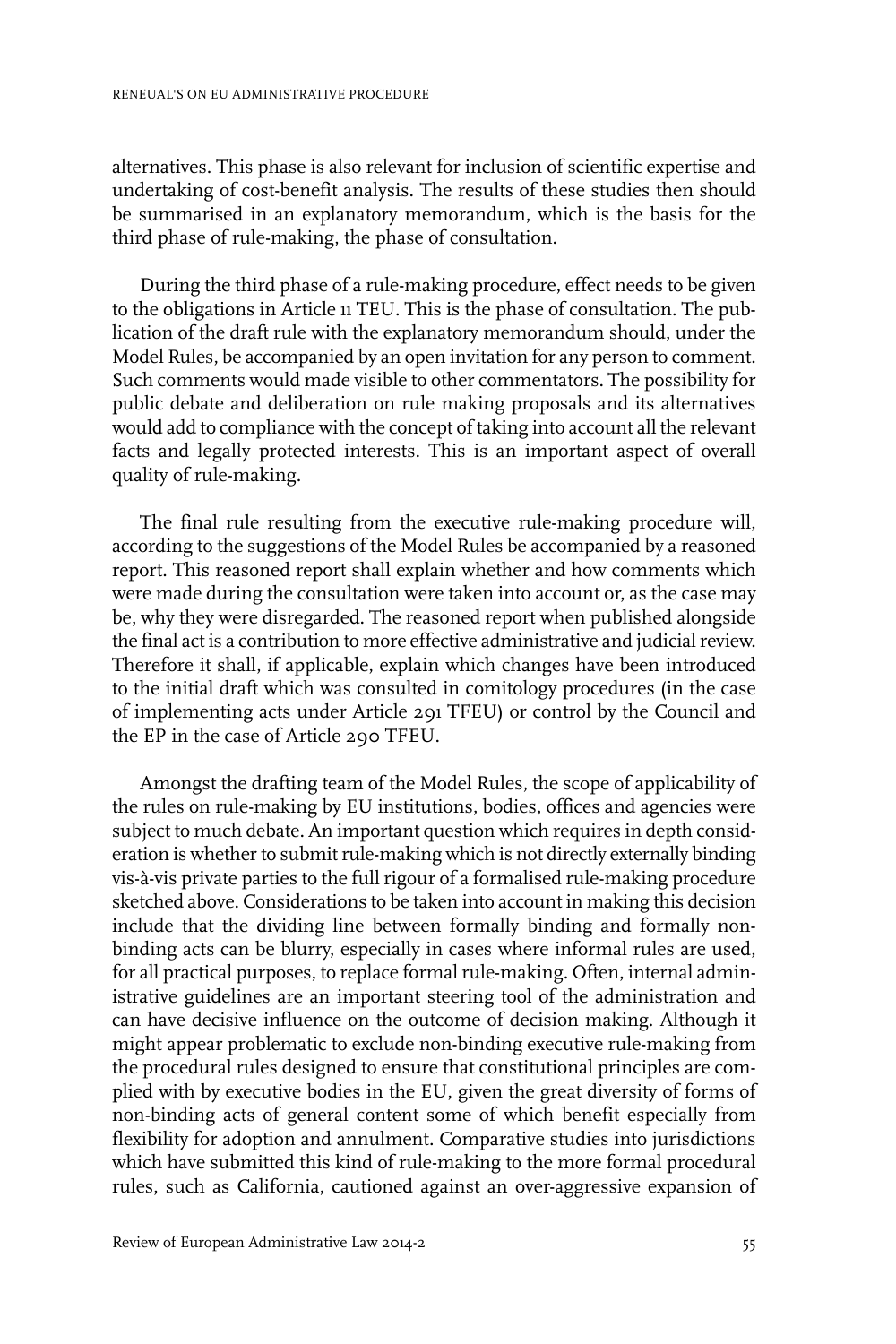alternatives. This phase is also relevant for inclusion of scientific expertise and undertaking of cost-benefit analysis. The results of these studies then should be summarised in an explanatory memorandum, which is the basis for the third phase of rule-making, the phase of consultation.

During the third phase of a rule-making procedure, effect needs to be given to the obligations in Article 11 TEU. This is the phase of consultation. The publication of the draft rule with the explanatory memorandum should, under the Model Rules, be accompanied by an open invitation for any person to comment. Such comments would made visible to other commentators. The possibility for public debate and deliberation on rule making proposals and its alternatives would add to compliance with the concept of taking into account all the relevant facts and legally protected interests. This is an important aspect of overall quality of rule-making.

The final rule resulting from the executive rule-making procedure will, according to the suggestions of the Model Rules be accompanied by a reasoned report. This reasoned report shall explain whether and how comments which were made during the consultation were taken into account or, as the case may be, why they were disregarded. The reasoned report when published alongside the final act is a contribution to more effective administrative and judicialreview. Therefore it shall, if applicable, explain which changes have been introduced to the initial draft which was consulted in comitology procedures (in the case of implementing acts under Article 291 TFEU) or control by the Council and the EP in the case of Article 290 TFEU.

Amongst the drafting team of the Model Rules, the scope of applicability of the rules on rule-making by EU institutions, bodies, offices and agencies were subject to much debate. An important question which requires in depth consideration is whether to submit rule-making which is not directly externally binding vis-à-vis private parties to the full rigour of a formalised rule-making procedure sketched above. Considerations to be taken into account in making this decision include that the dividing line between formally binding and formally nonbinding acts can be blurry, especially in cases where informal rules are used, for all practical purposes, to replace formal rule-making. Often, internal administrative guidelines are an important steering tool of the administration and can have decisive influence on the outcome of decision making. Although it might appear problematic to exclude non-binding executive rule-making from the procedural rules designed to ensure that constitutional principles are complied with by executive bodies in the EU, given the great diversity of forms of non-binding acts of general content some of which benefit especially from flexibility for adoption and annulment. Comparative studies into jurisdictions which have submitted this kind of rule-making to the more formal procedural rules, such as California, cautioned against an over-aggressive expansion of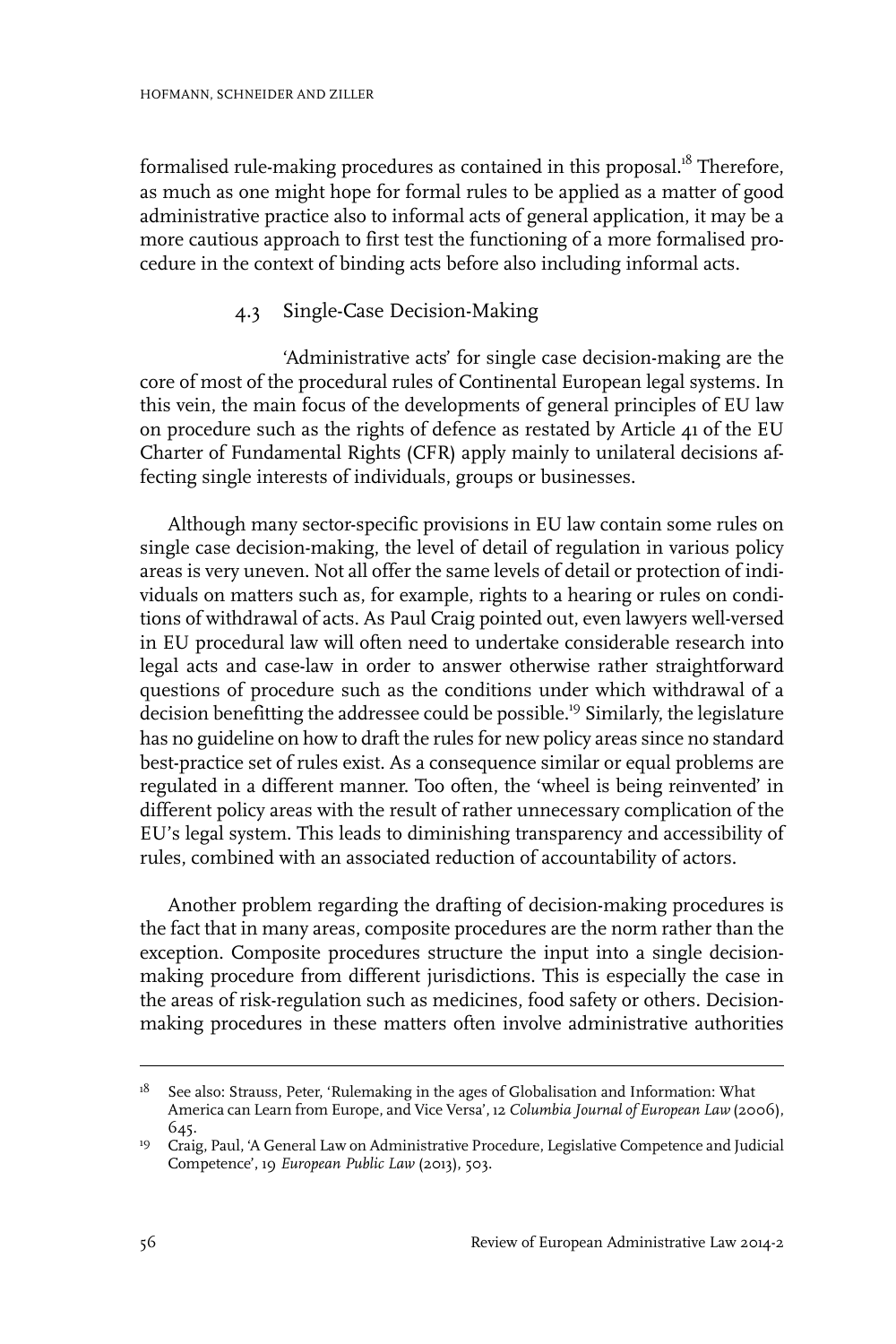formalised rule-making procedures as contained in this proposal.<sup>18</sup> Therefore, as much as one might hope for formal rules to be applied as a matter of good administrative practice also to informal acts of general application, it may be a more cautious approach to first test the functioning of a more formalised procedure in the context of binding acts before also including informal acts.

#### 4.3 Single-Case Decision-Making

'Administrative acts' for single case decision-making are the core of most of the procedural rules of Continental European legal systems. In this vein, the main focus of the developments of general principles of EU law on procedure such as the rights of defence as restated by Article 41 of the EU Charter of Fundamental Rights (CFR) apply mainly to unilateral decisions affecting single interests of individuals, groups or businesses.

Although many sector-specific provisions in EU law contain some rules on single case decision-making, the level of detail of regulation in various policy areas is very uneven. Not all offer the same levels of detail or protection of individuals on matters such as, for example, rights to a hearing or rules on conditions of withdrawal of acts. As Paul Craig pointed out, even lawyers well-versed in EU procedural law will often need to undertake considerable research into legal acts and case-law in order to answer otherwise rather straightforward questions of procedure such as the conditions under which withdrawal of a decision benefitting the addressee could be possible.<sup>19</sup> Similarly, the legislature has no guideline on how to draft the rules for new policy areas since no standard best-practice set of rules exist. As a consequence similar or equal problems are regulated in a different manner. Too often, the 'wheel is being reinvented' in different policy areas with the result of rather unnecessary complication of the EU's legal system. This leads to diminishing transparency and accessibility of rules, combined with an associated reduction of accountability of actors.

Another problem regarding the drafting of decision-making procedures is the fact that in many areas, composite procedures are the norm rather than the exception. Composite procedures structure the input into a single decisionmaking procedure from different jurisdictions. This is especially the case in the areas of risk-regulation such as medicines, food safety or others. Decisionmaking procedures in these matters often involve administrative authorities

See also: Strauss, Peter, 'Rulemaking in the ages of Globalisation and Information: What America can Learn from Europe, and Vice Versa', 12 *Columbia Journal of European Law* (2006), 645. 18

<sup>&</sup>lt;sup>19</sup> Craig, Paul, 'A General Law on Administrative Procedure, Legislative Competence and Judicial Competence', 19 *European Public Law* (2013), 503.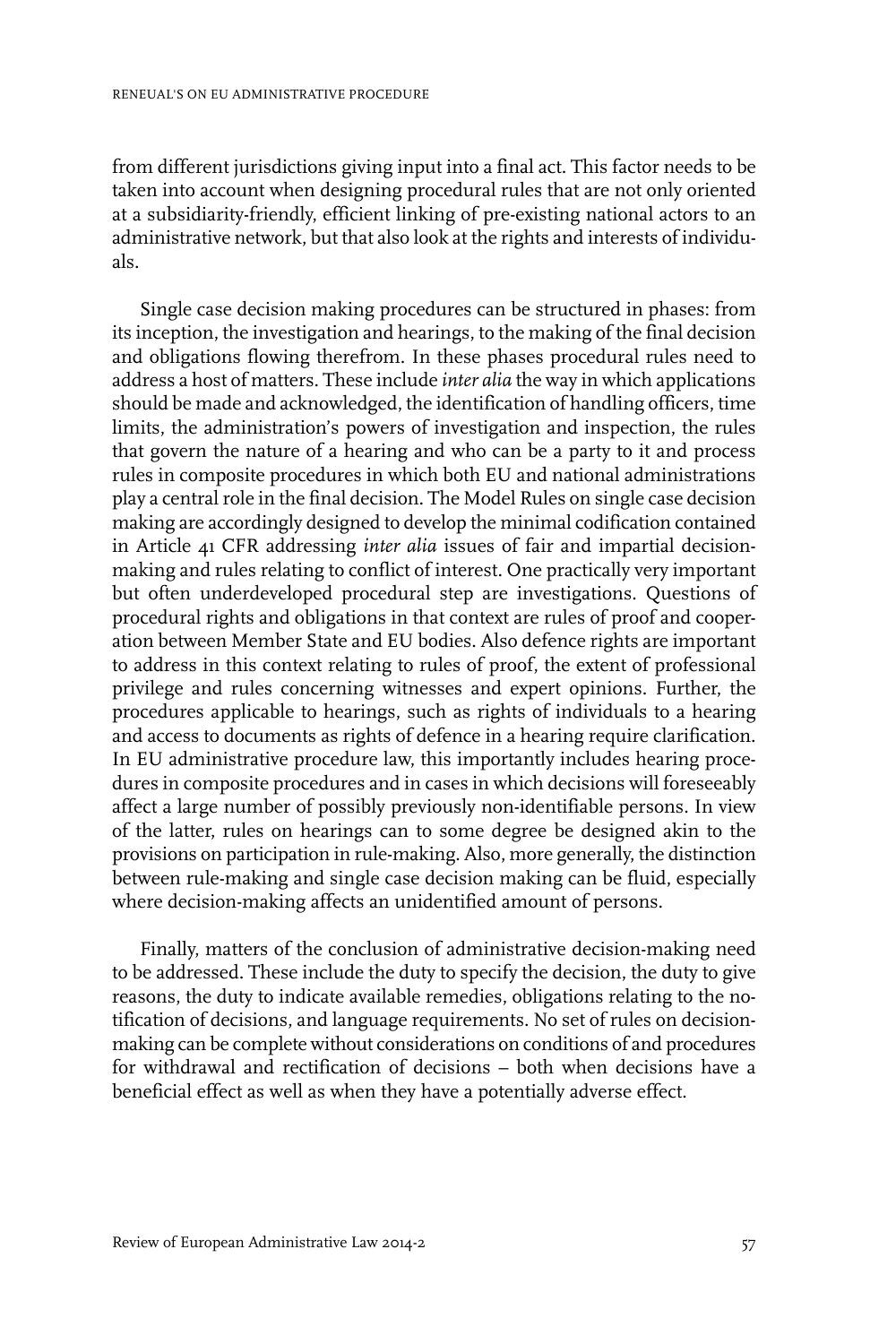from different jurisdictions giving input into a final act. This factor needs to be taken into account when designing procedural rules that are not only oriented at a subsidiarity-friendly, efficient linking of pre-existing national actors to an administrative network, but that also look at the rights and interests of individuals.

Single case decision making procedures can be structured in phases: from its inception, the investigation and hearings, to the making of the final decision and obligations flowing therefrom. In these phases procedural rules need to address a host of matters. These include *inter alia* the way in which applications should be made and acknowledged, the identification of handling officers, time limits, the administration's powers of investigation and inspection, the rules that govern the nature of a hearing and who can be a party to it and process rules in composite procedures in which both EU and national administrations play a central role in the final decision. The Model Rules on single case decision making are accordingly designed to develop the minimal codification contained in Article 41 CFR addressing *inter alia* issues of fair and impartial decisionmaking and rules relating to conflict of interest. One practically very important but often underdeveloped procedural step are investigations. Questions of procedural rights and obligations in that context are rules of proof and cooperation between Member State and EU bodies. Also defence rights are important to address in this context relating to rules of proof, the extent of professional privilege and rules concerning witnesses and expert opinions. Further, the procedures applicable to hearings, such as rights of individuals to a hearing and access to documents as rights of defence in a hearing require clarification. In EU administrative procedure law, this importantly includes hearing procedures in composite procedures and in cases in which decisions will foreseeably affect a large number of possibly previously non-identifiable persons. In view of the latter, rules on hearings can to some degree be designed akin to the provisions on participation in rule-making. Also, more generally, the distinction between rule-making and single case decision making can be fluid, especially where decision-making affects an unidentified amount of persons.

Finally, matters of the conclusion of administrative decision-making need to be addressed. These include the duty to specify the decision, the duty to give reasons, the duty to indicate available remedies, obligations relating to the notification of decisions, and language requirements. No set of rules on decisionmaking can be complete without considerations on conditions of and procedures for withdrawal and rectification of decisions – both when decisions have a beneficial effect as well as when they have a potentially adverse effect.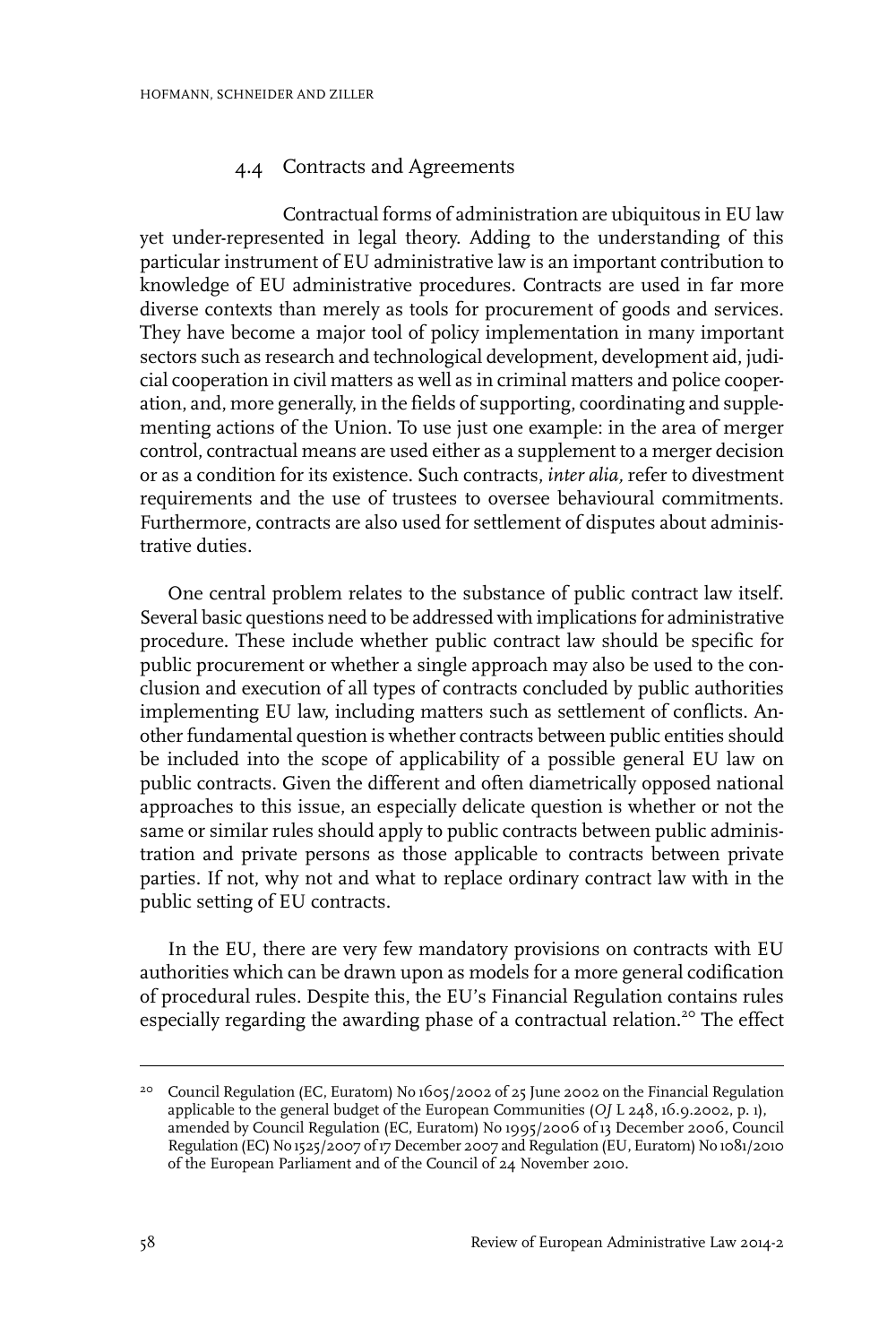#### 4.4 Contracts and Agreements

Contractual forms of administration are ubiquitous in EU law yet under-represented in legal theory. Adding to the understanding of this particular instrument of EU administrative law is an important contribution to knowledge of EU administrative procedures. Contracts are used in far more diverse contexts than merely as tools for procurement of goods and services. They have become a major tool of policy implementation in many important sectors such as research and technological development, development aid, judicial cooperation in civil matters as well as in criminal matters and police cooperation, and, more generally, in the fields of supporting, coordinating and supplementing actions of the Union. To use just one example: in the area of merger control, contractual means are used either as a supplement to a merger decision or as a condition for its existence. Such contracts, *inter alia,* refer to divestment requirements and the use of trustees to oversee behavioural commitments. Furthermore, contracts are also used for settlement of disputes about administrative duties.

One central problem relates to the substance of public contract law itself. Several basic questions need to be addressed with implications for administrative procedure. These include whether public contract law should be specific for public procurement or whether a single approach may also be used to the conclusion and execution of all types of contracts concluded by public authorities implementing EU law, including matters such as settlement of conflicts. Another fundamental question is whether contracts between public entities should be included into the scope of applicability of a possible general EU law on public contracts. Given the different and often diametrically opposed national approaches to this issue, an especially delicate question is whether or not the same or similar rules should apply to public contracts between public administration and private persons as those applicable to contracts between private parties. If not, why not and what to replace ordinary contract law with in the public setting of EU contracts.

In the EU, there are very few mandatory provisions on contracts with EU authorities which can be drawn upon as models for a more general codification of procedural rules. Despite this, the EU's Financial Regulation contains rules especially regarding the awarding phase of a contractual relation.<sup>20</sup> The effect

<sup>&</sup>lt;sup>20</sup> Council Regulation (EC, Euratom) No 1605/2002 of 25 June 2002 on the Financial Regulation applicable to the general budget of the European Communities (*OJ* L 248, 16.9.2002, p. 1), amended by Council Regulation (EC, Euratom) No 1995/2006 of 13 December 2006, Council Regulation (EC) No 1525/2007 of 17 December 2007 and Regulation (EU, Euratom) No 1081/2010 of the European Parliament and of the Council of 24 November 2010.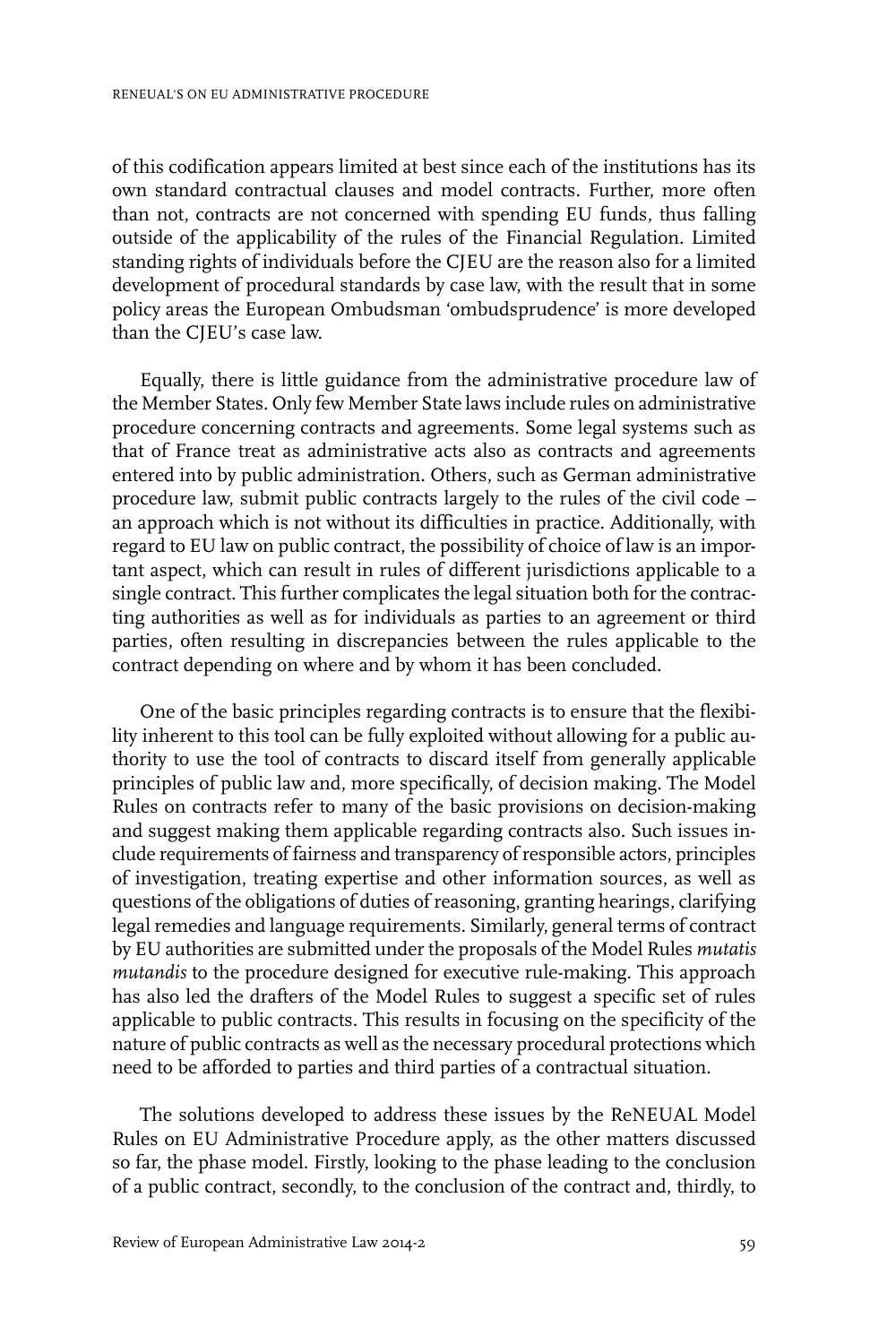of this codification appears limited at best since each of the institutions has its own standard contractual clauses and model contracts. Further, more often than not, contracts are not concerned with spending EU funds, thus falling outside of the applicability of the rules of the Financial Regulation. Limited standing rights of individuals before the CJEU are the reason also for a limited development of procedural standards by case law, with the result that in some policy areas the European Ombudsman 'ombudsprudence' is more developed than the CJEU's case law.

Equally, there is little guidance from the administrative procedure law of the Member States. Only few Member State laws include rules on administrative procedure concerning contracts and agreements. Some legal systems such as that of France treat as administrative acts also as contracts and agreements entered into by public administration. Others, such as German administrative procedure law, submit public contracts largely to the rules of the civil code – an approach which is not without its difficulties in practice. Additionally, with regard to EU law on public contract, the possibility of choice of law is an important aspect, which can result in rules of different jurisdictions applicable to a single contract. This further complicates the legal situation both for the contracting authorities as well as for individuals as parties to an agreement or third parties, often resulting in discrepancies between the rules applicable to the contract depending on where and by whom it has been concluded.

One of the basic principles regarding contracts is to ensure that the flexibility inherent to this tool can be fully exploited without allowing for a public authority to use the tool of contracts to discard itself from generally applicable principles of public law and, more specifically, of decision making. The Model Rules on contracts refer to many of the basic provisions on decision-making and suggest making them applicable regarding contracts also. Such issues include requirements of fairness and transparency of responsible actors, principles of investigation, treating expertise and other information sources, as well as questions of the obligations of duties of reasoning, granting hearings, clarifying legal remedies and language requirements. Similarly, general terms of contract by EU authorities are submitted under the proposals of the Model Rules *mutatis mutandis* to the procedure designed for executive rule-making. This approach has also led the drafters of the Model Rules to suggest a specific set of rules applicable to public contracts. This results in focusing on the specificity of the nature of public contracts as well as the necessary procedural protections which need to be afforded to parties and third parties of a contractual situation.

The solutions developed to address these issues by the ReNEUAL Model Rules on EU Administrative Procedure apply, as the other matters discussed so far, the phase model. Firstly, looking to the phase leading to the conclusion of a public contract, secondly, to the conclusion of the contract and, thirdly, to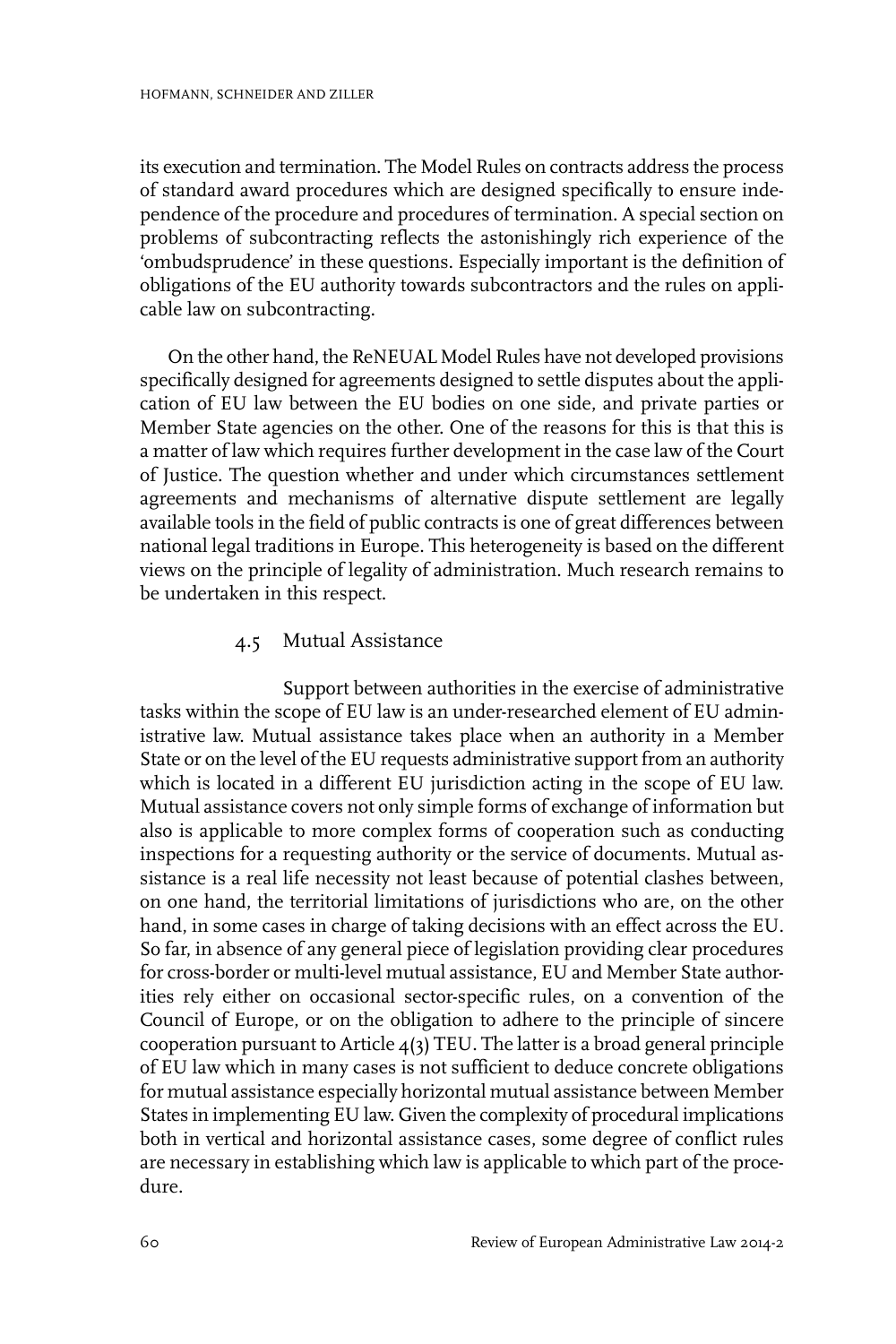its execution and termination. The Model Rules on contracts address the process of standard award procedures which are designed specifically to ensure independence of the procedure and procedures of termination. A special section on problems of subcontracting reflects the astonishingly rich experience of the 'ombudsprudence' in these questions. Especially important is the definition of obligations of the EU authority towards subcontractors and the rules on applicable law on subcontracting.

On the other hand, the ReNEUAL Model Rules have not developed provisions specifically designed for agreements designed to settle disputes about the application of EU law between the EU bodies on one side, and private parties or Member State agencies on the other. One of the reasons for this is that this is a matter of law which requires further development in the case law of the Court of Justice. The question whether and under which circumstances settlement agreements and mechanisms of alternative dispute settlement are legally available tools in the field of public contracts is one of great differences between national legal traditions in Europe. This heterogeneity is based on the different views on the principle of legality of administration. Much research remains to be undertaken in this respect.

#### 4.5 Mutual Assistance

Support between authorities in the exercise of administrative tasks within the scope of EU law is an under-researched element of EU administrative law. Mutual assistance takes place when an authority in a Member State or on the level of the EU requests administrative support from an authority which is located in a different EU jurisdiction acting in the scope of EU law. Mutual assistance covers not only simple forms of exchange of information but also is applicable to more complex forms of cooperation such as conducting inspections for a requesting authority or the service of documents. Mutual assistance is a real life necessity not least because of potential clashes between, on one hand, the territorial limitations of jurisdictions who are, on the other hand, in some cases in charge of taking decisions with an effect across the EU. So far, in absence of any general piece of legislation providing clear procedures for cross-border or multi-level mutual assistance, EU and Member State authorities rely either on occasional sector-specific rules, on a convention of the Council of Europe, or on the obligation to adhere to the principle of sincere cooperation pursuant to Article  $4(3)$  TEU. The latter is a broad general principle of EU law which in many cases is not sufficient to deduce concrete obligations for mutual assistance especially horizontal mutual assistance between Member States in implementing EU law. Given the complexity of procedural implications both in vertical and horizontal assistance cases, some degree of conflict rules are necessary in establishing which law is applicable to which part of the procedure.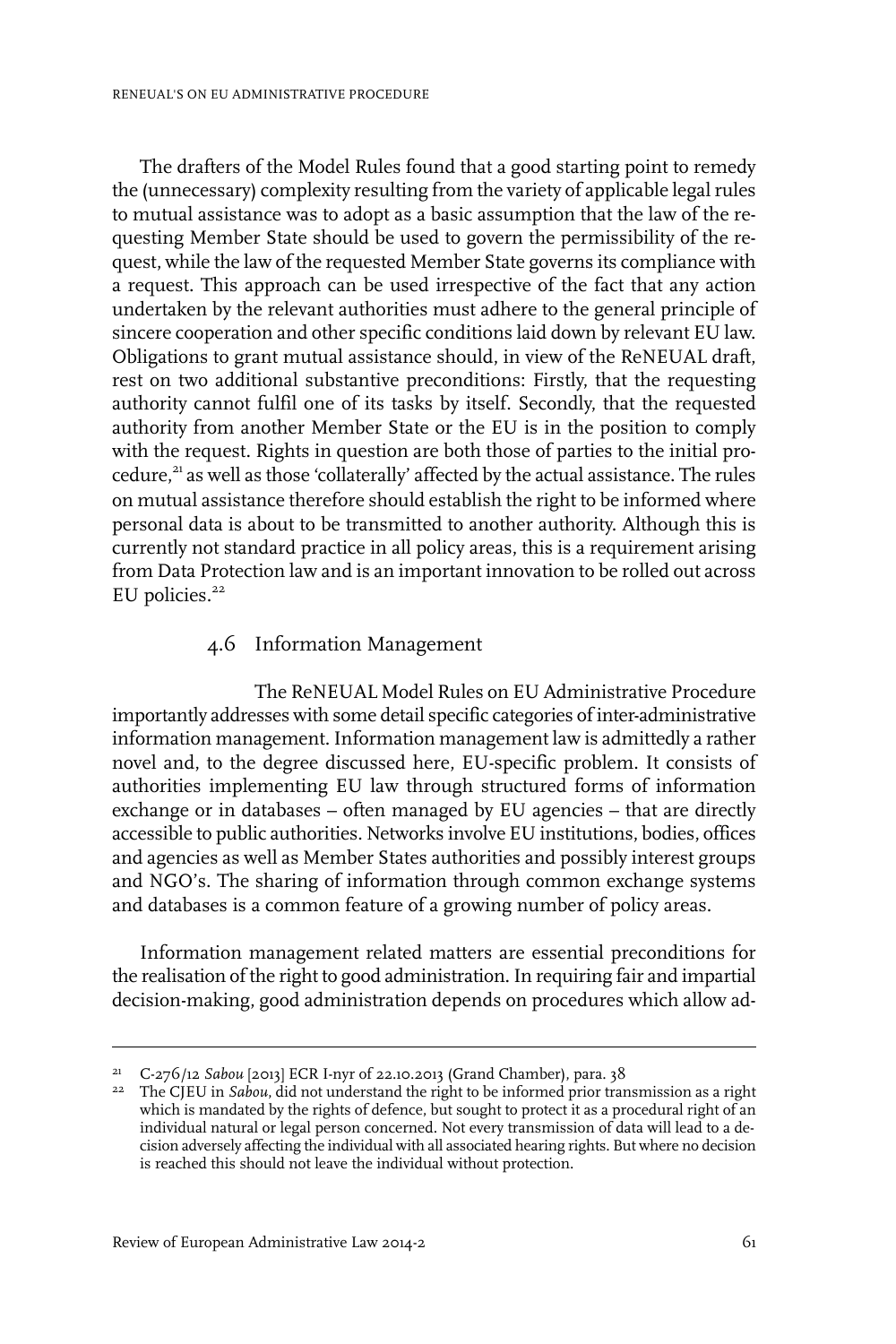The drafters of the Model Rules found that a good starting point to remedy the (unnecessary) complexity resulting from the variety of applicable legal rules to mutual assistance was to adopt as a basic assumption that the law of the requesting Member State should be used to govern the permissibility of the request, while the law of the requested Member State governs its compliance with a request. This approach can be used irrespective of the fact that any action undertaken by the relevant authorities must adhere to the general principle of sincere cooperation and other specific conditions laid down by relevant EU law. Obligations to grant mutual assistance should, in view of the ReNEUAL draft, rest on two additional substantive preconditions: Firstly, that the requesting authority cannot fulfil one of its tasks by itself. Secondly, that the requested authority from another Member State or the EU is in the position to comply with the request. Rights in question are both those of parties to the initial procedure,<sup>21</sup> as well as those 'collaterally' affected by the actual assistance. The rules on mutual assistance therefore should establish the right to be informed where personal data is about to be transmitted to another authority. Although this is currently not standard practice in all policy areas, this is a requirement arising from Data Protection law and is an important innovation to be rolled out across EU policies. $22$ 

#### 4.6 Information Management

The ReNEUAL Model Rules on EU Administrative Procedure importantly addresses with some detail specific categories of inter-administrative information management. Information management law is admittedly a rather novel and, to the degree discussed here, EU-specific problem. It consists of authorities implementing EU law through structured forms of information exchange or in databases – often managed by EU agencies – that are directly accessible to public authorities. Networks involve EU institutions, bodies, offices and agencies as well as Member States authorities and possibly interest groups and NGO's. The sharing of information through common exchange systems and databases is a common feature of a growing number of policy areas.

Information management related matters are essential preconditions for the realisation of the right to good administration. In requiring fair and impartial decision-making, good administration depends on procedures which allow ad-

<sup>&</sup>lt;sup>21</sup> C-276/12 *Sabou* [2013] ECR I-nyr of 22.10.2013 (Grand Chamber), para. 38

<sup>&</sup>lt;sup>22</sup> The CJEU in *Sabou*, did not understand the right to be informed prior transmission as a right which is mandated by the rights of defence, but sought to protect it as a procedural right of an individual natural or legal person concerned. Not every transmission of data will lead to a decision adversely affecting the individual with all associated hearing rights. But where no decision is reached this should not leave the individual without protection.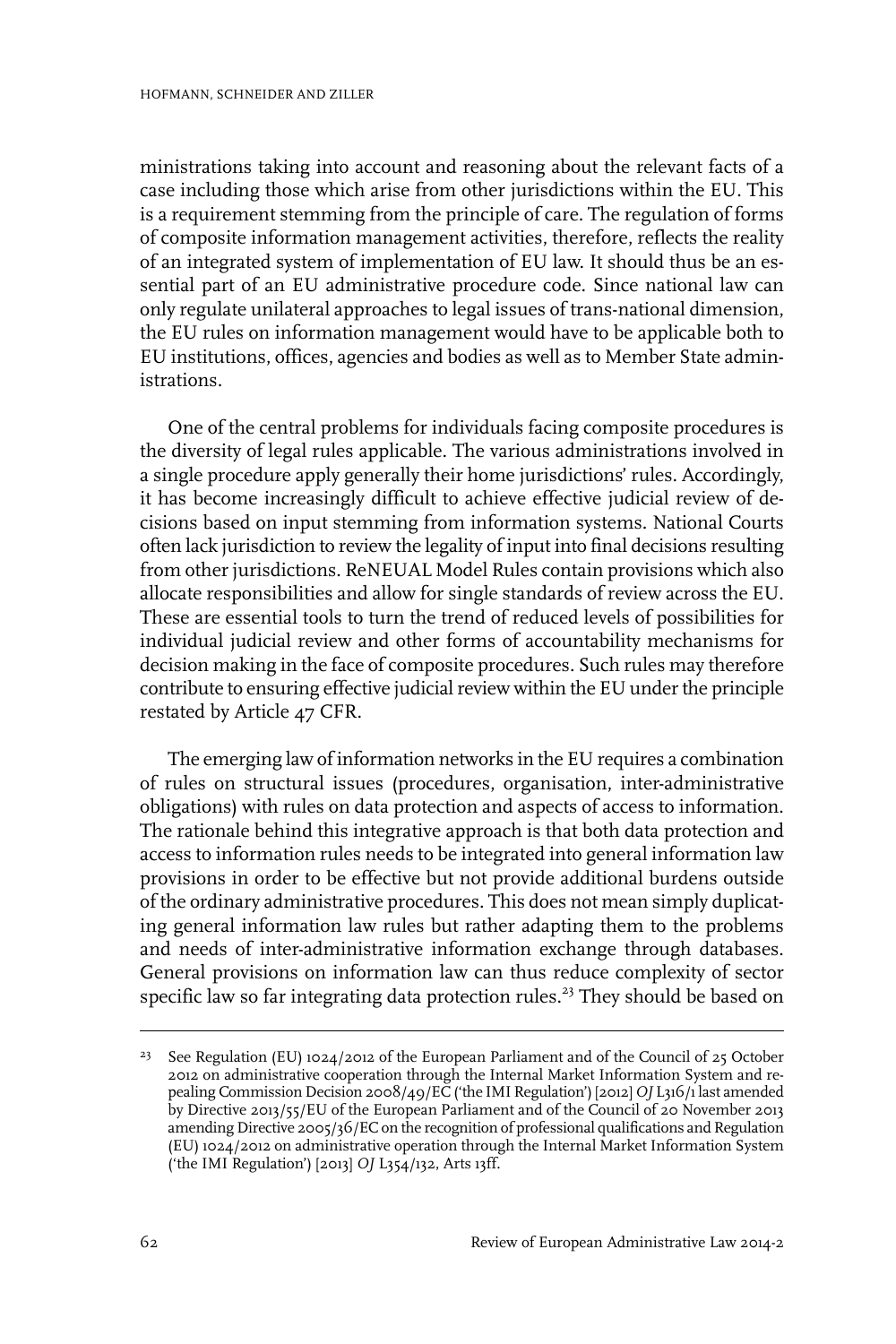ministrations taking into account and reasoning about the relevant facts of a case including those which arise from other jurisdictions within the EU. This is a requirement stemming from the principle of care. The regulation of forms of composite information management activities, therefore, reflects the reality of an integrated system of implementation of EU law. It should thus be an essential part of an EU administrative procedure code. Since national law can only regulate unilateral approaches to legal issues of trans-national dimension, the EU rules on information management would have to be applicable both to EU institutions, offices, agencies and bodies as well as to Member State administrations.

One of the central problems for individuals facing composite procedures is the diversity of legal rules applicable. The various administrations involved in a single procedure apply generally their home jurisdictions' rules. Accordingly, it has become increasingly difficult to achieve effective judicial review of decisions based on input stemming from information systems. National Courts often lack jurisdiction to review the legality of input into final decisions resulting from other jurisdictions. ReNEUAL Model Rules contain provisions which also allocate responsibilities and allow for single standards of review across the EU. These are essential tools to turn the trend of reduced levels of possibilities for individual judicial review and other forms of accountability mechanisms for decision making in the face of composite procedures. Such rules may therefore contribute to ensuring effective judicial review within the EU under the principle restated by Article 47 CFR.

The emerging law of information networks in the EU requires a combination of rules on structural issues (procedures, organisation, inter-administrative obligations) with rules on data protection and aspects of access to information. The rationale behind this integrative approach is that both data protection and access to information rules needs to be integrated into general information law provisions in order to be effective but not provide additional burdens outside of the ordinary administrative procedures. This does not mean simply duplicating general information law rules but rather adapting them to the problems and needs of inter-administrative information exchange through databases. General provisions on information law can thus reduce complexity of sector specific law so far integrating data protection rules.<sup>23</sup> They should be based on

<sup>&</sup>lt;sup>23</sup> See Regulation (EU) 1024/2012 of the European Parliament and of the Council of 25 October 2012 on administrative cooperation through the Internal Market Information System and repealing Commission Decision 2008/49/EC ('the IMI Regulation') [2012] *OJ* L316/1 last amended by Directive 2013/55/EU of the European Parliament and of the Council of 20 November 2013 amending Directive 2005/36/EC on the recognition of professional qualifications and Regulation (EU) 1024/2012 on administrative operation through the Internal Market Information System ('the IMI Regulation') [2013] *OJ* L354/132, Arts 13ff.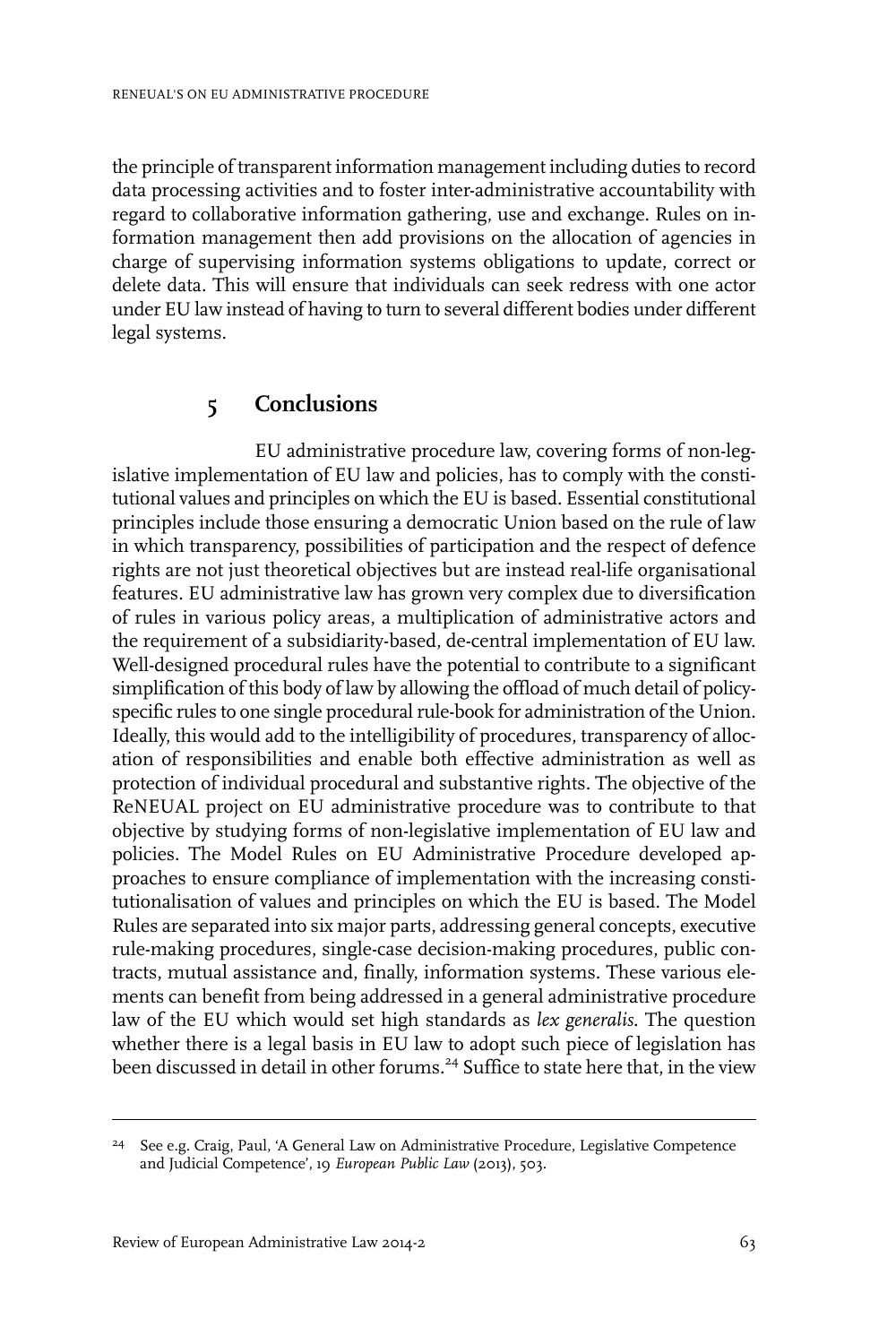the principle of transparent information management including duties to record data processing activities and to foster inter-administrative accountability with regard to collaborative information gathering, use and exchange. Rules on information management then add provisions on the allocation of agencies in charge of supervising information systems obligations to update, correct or delete data. This will ensure that individuals can seek redress with one actor under EU law instead of having to turn to several different bodies under different legal systems.

### **5 Conclusions**

EU administrative procedure law, covering forms of non-legislative implementation of EU law and policies, has to comply with the constitutional values and principles on which the EU is based. Essential constitutional principles include those ensuring a democratic Union based on the rule of law in which transparency, possibilities of participation and the respect of defence rights are not just theoretical objectives but are instead real-life organisational features. EU administrative law has grown very complex due to diversification of rules in various policy areas, a multiplication of administrative actors and the requirement of a subsidiarity-based, de-central implementation of EU law. Well-designed procedural rules have the potential to contribute to a significant simplification of this body of law by allowing the offload of much detail of policyspecific rules to one single procedural rule-book for administration of the Union. Ideally, this would add to the intelligibility of procedures, transparency of allocation of responsibilities and enable both effective administration as well as protection of individual procedural and substantive rights. The objective of the ReNEUAL project on EU administrative procedure was to contribute to that objective by studying forms of non-legislative implementation of EU law and policies. The Model Rules on EU Administrative Procedure developed approaches to ensure compliance of implementation with the increasing constitutionalisation of values and principles on which the EU is based. The Model Rules are separated into six major parts, addressing general concepts, executive rule-making procedures, single-case decision-making procedures, public contracts, mutual assistance and, finally, information systems. These various elements can benefit from being addressed in a general administrative procedure law of the EU which would set high standards as *lex generalis*. The question whether there is a legal basis in EU law to adopt such piece of legislation has been discussed in detail in other forums.<sup>24</sup> Suffice to state here that, in the view

<sup>&</sup>lt;sup>24</sup> See e.g. Craig, Paul, 'A General Law on Administrative Procedure, Legislative Competence and Judicial Competence', 19 *European Public Law* (2013), 503.